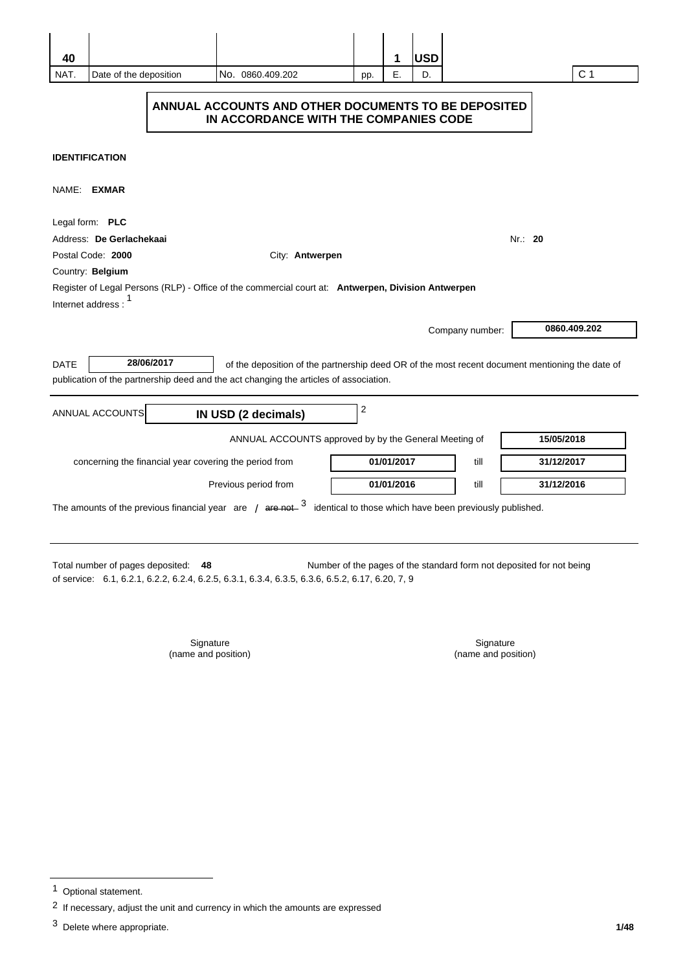| 40<br>NAT.  | Date of the deposition                                                                       | No. 0860.409.202                                                                                                                                                                         | pp.            | 1<br>Ε.    | <b>USD</b><br>D. |                 |            | C <sub>1</sub> |
|-------------|----------------------------------------------------------------------------------------------|------------------------------------------------------------------------------------------------------------------------------------------------------------------------------------------|----------------|------------|------------------|-----------------|------------|----------------|
|             | ANNUAL ACCOUNTS AND OTHER DOCUMENTS TO BE DEPOSITED<br>IN ACCORDANCE WITH THE COMPANIES CODE |                                                                                                                                                                                          |                |            |                  |                 |            |                |
|             | <b>IDENTIFICATION</b>                                                                        |                                                                                                                                                                                          |                |            |                  |                 |            |                |
| NAME: EXMAR |                                                                                              |                                                                                                                                                                                          |                |            |                  |                 |            |                |
|             | Legal form: PLC                                                                              |                                                                                                                                                                                          |                |            |                  |                 |            |                |
|             | Address: De Gerlachekaai                                                                     |                                                                                                                                                                                          |                |            |                  |                 | Nr.: 20    |                |
|             | Postal Code: 2000                                                                            | City: Antwerpen                                                                                                                                                                          |                |            |                  |                 |            |                |
|             | Country: Belgium                                                                             |                                                                                                                                                                                          |                |            |                  |                 |            |                |
|             | Internet address:                                                                            | Register of Legal Persons (RLP) - Office of the commercial court at: Antwerpen, Division Antwerpen                                                                                       |                |            |                  |                 |            |                |
|             |                                                                                              |                                                                                                                                                                                          |                |            |                  | Company number: |            | 0860.409.202   |
| <b>DATE</b> | 28/06/2017                                                                                   | of the deposition of the partnership deed OR of the most recent document mentioning the date of<br>publication of the partnership deed and the act changing the articles of association. |                |            |                  |                 |            |                |
|             | ANNUAL ACCOUNTS                                                                              | IN USD (2 decimals)                                                                                                                                                                      | $\overline{c}$ |            |                  |                 |            |                |
|             |                                                                                              | ANNUAL ACCOUNTS approved by by the General Meeting of                                                                                                                                    |                |            |                  |                 | 15/05/2018 |                |
|             | concerning the financial year covering the period from                                       |                                                                                                                                                                                          |                | 01/01/2017 |                  | till            | 31/12/2017 |                |
|             |                                                                                              | Previous period from                                                                                                                                                                     |                | 01/01/2016 |                  | till            | 31/12/2016 |                |
|             |                                                                                              | The amounts of the previous financial year are / $\alpha + 3$ identical to those which have been previously published.                                                                   |                |            |                  |                 |            |                |

Number of the pages of the standard form not deposited for not being of service: 6.1, 6.2.1, 6.2.2, 6.2.4, 6.2.5, 6.3.1, 6.3.4, 6.3.5, 6.3.6, 6.5.2, 6.17, 6.20, 7, 9 Total number of pages deposited: 48

> Signature (name and position)

Signature (name and position)

<sup>&</sup>lt;sup>1</sup> Optional statement.

 $2$  If necessary, adjust the unit and currency in which the amounts are expressed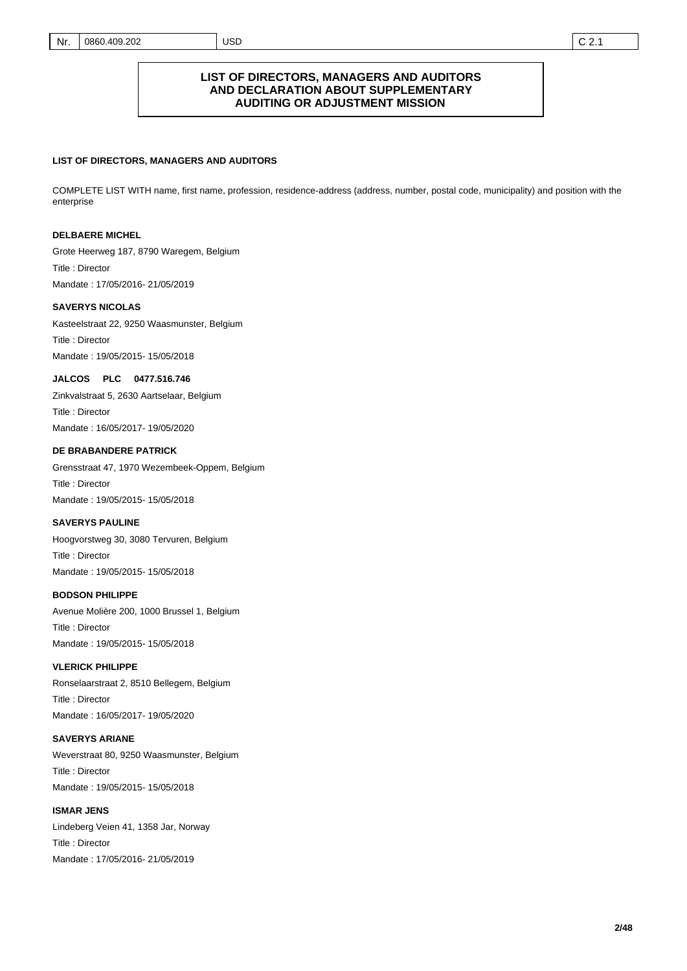#### Nr. 0860.409.202 USD C 2.1

#### **LIST OF DIRECTORS, MANAGERS AND AUDITORS AND DECLARATION ABOUT SUPPLEMENTARY AUDITING OR ADJUSTMENT MISSION**

#### **LIST OF DIRECTORS, MANAGERS AND AUDITORS**

COMPLETE LIST WITH name, first name, profession, residence-address (address, number, postal code, municipality) and position with the enterprise

#### **DELBAERE MICHEL**

Title : Director Mandate : 17/05/2016- 21/05/2019 Grote Heerweg 187, 8790 Waregem, Belgium

#### **SAVERYS NICOLAS**

Title : Director Mandate : 19/05/2015- 15/05/2018 Kasteelstraat 22, 9250 Waasmunster, Belgium

#### **JALCOS PLC 0477.516.746**

Title : Director Mandate : 16/05/2017- 19/05/2020 Zinkvalstraat 5, 2630 Aartselaar, Belgium

#### **DE BRABANDERE PATRICK**

Title : Director Mandate : 19/05/2015- 15/05/2018 Grensstraat 47, 1970 Wezembeek-Oppem, Belgium

#### **SAVERYS PAULINE**

Title : Director Mandate : 19/05/2015- 15/05/2018 Hoogvorstweg 30, 3080 Tervuren, Belgium

#### **BODSON PHILIPPE**

Title : Director Mandate : 19/05/2015- 15/05/2018 Avenue Molière 200, 1000 Brussel 1, Belgium

#### **VLERICK PHILIPPE**

Title : Director Mandate : 16/05/2017- 19/05/2020 Ronselaarstraat 2, 8510 Bellegem, Belgium

#### **SAVERYS ARIANE**

Title : Director Mandate : 19/05/2015- 15/05/2018 Weverstraat 80, 9250 Waasmunster, Belgium

### **ISMAR JENS**  Title : Director Lindeberg Veien 41, 1358 Jar, Norway

Mandate : 17/05/2016- 21/05/2019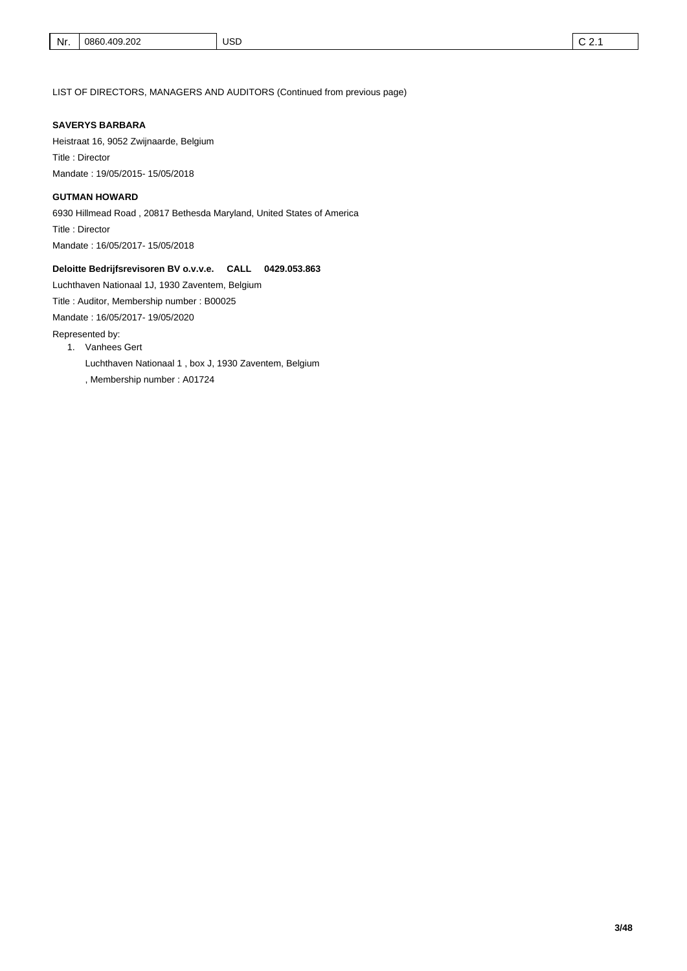LIST OF DIRECTORS, MANAGERS AND AUDITORS (Continued from previous page)

#### **SAVERYS BARBARA**

Title : Director Mandate : 19/05/2015- 15/05/2018 Heistraat 16, 9052 Zwijnaarde, Belgium

#### **GUTMAN HOWARD**

Title : Director Mandate : 16/05/2017- 15/05/2018 6930 Hillmead Road , 20817 Bethesda Maryland, United States of America

#### **Deloitte Bedrijfsrevisoren BV o.v.v.e. CALL 0429.053.863**

Luchthaven Nationaal 1J, 1930 Zaventem, Belgium

Title : Auditor, Membership number : B00025

Mandate : 16/05/2017- 19/05/2020

Represented by:

- 1. Vanhees Gert
	- Luchthaven Nationaal 1 , box J, 1930 Zaventem, Belgium
	- , Membership number : A01724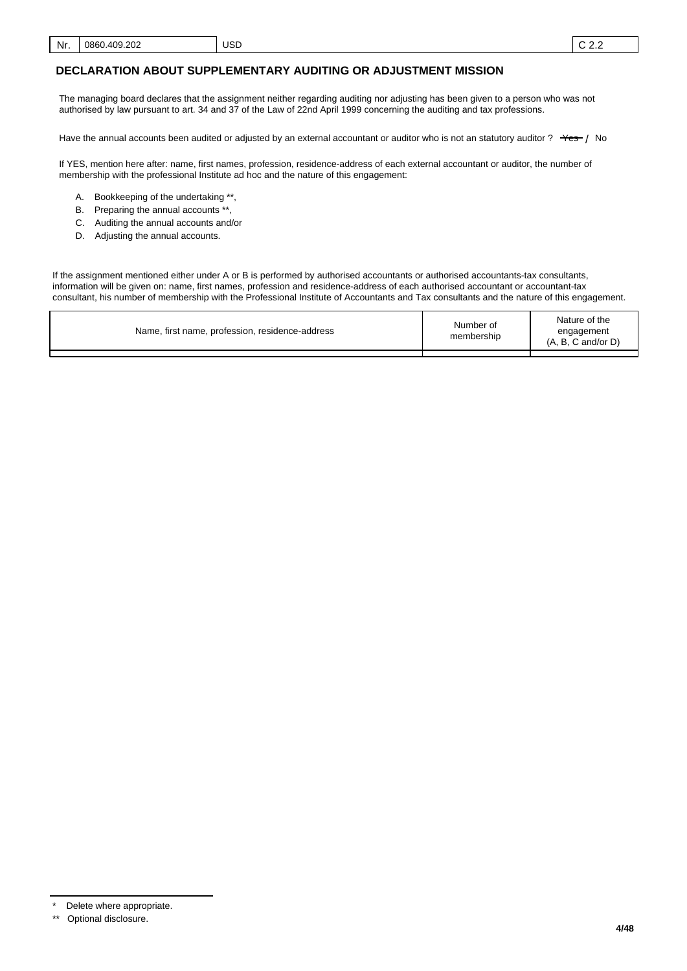The managing board declares that the assignment neither regarding auditing nor adjusting has been given to a person who was not authorised by law pursuant to art. 34 and 37 of the Law of 22nd April 1999 concerning the auditing and tax professions.

Have the annual accounts been audited or adjusted by an external accountant or auditor who is not an statutory auditor ?  $\rightarrow$   $\rightarrow$   $\rightarrow$  No

If YES, mention here after: name, first names, profession, residence-address of each external accountant or auditor, the number of membership with the professional Institute ad hoc and the nature of this engagement:

- A. Bookkeeping of the undertaking \*\*,
- B. Preparing the annual accounts \*\*,
- C. Auditing the annual accounts and/or
- D. Adjusting the annual accounts.

If the assignment mentioned either under A or B is performed by authorised accountants or authorised accountants-tax consultants, information will be given on: name, first names, profession and residence-address of each authorised accountant or accountant-tax consultant, his number of membership with the Professional Institute of Accountants and Tax consultants and the nature of this engagement.

| Name, first name, profession, residence-address | Number of<br>membership | Nature of the<br>engagement<br>$(A, B, C \text{ and/or } D)$ |
|-------------------------------------------------|-------------------------|--------------------------------------------------------------|
|                                                 |                         |                                                              |

Delete where appropriate.

<sup>\*\*</sup> Optional disclosure.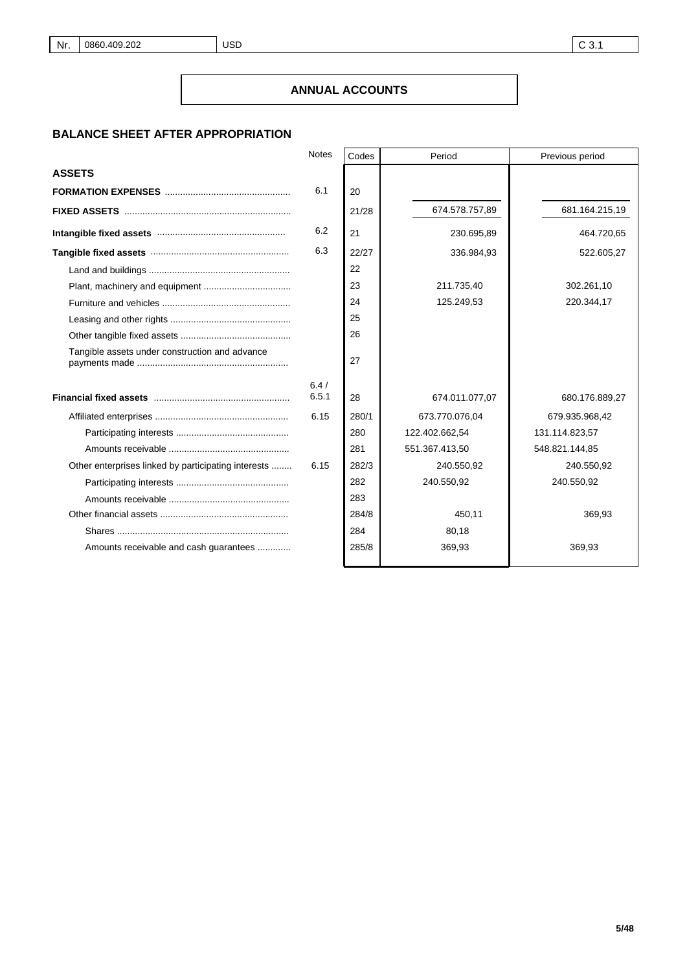# **BALANCE SHEET AFTER APPROPRIATION**

|                                                     | <b>Notes</b> | Codes | Period         | Previous period |
|-----------------------------------------------------|--------------|-------|----------------|-----------------|
| <b>ASSETS</b>                                       |              |       |                |                 |
|                                                     | 6.1          | 20    |                |                 |
|                                                     |              | 21/28 | 674.578.757,89 | 681.164.215,19  |
|                                                     | 6.2          | 21    | 230.695,89     | 464.720,65      |
|                                                     | 6.3          | 22/27 | 336.984,93     | 522.605,27      |
|                                                     |              | 22    |                |                 |
|                                                     |              | 23    | 211.735,40     | 302.261,10      |
|                                                     |              | 24    | 125.249,53     | 220.344,17      |
|                                                     |              | 25    |                |                 |
|                                                     |              | 26    |                |                 |
| Tangible assets under construction and advance      |              | 27    |                |                 |
|                                                     | 6.4/         |       |                |                 |
|                                                     | 6.5.1        | 28    | 674.011.077,07 | 680.176.889,27  |
|                                                     | 6.15         | 280/1 | 673.770.076,04 | 679.935.968,42  |
|                                                     |              | 280   | 122.402.662,54 | 131.114.823,57  |
|                                                     |              | 281   | 551.367.413,50 | 548.821.144,85  |
| Other enterprises linked by participating interests | 6.15         | 282/3 | 240.550,92     | 240.550,92      |
|                                                     |              | 282   | 240.550,92     | 240.550,92      |
|                                                     |              | 283   |                |                 |
|                                                     |              | 284/8 | 450,11         | 369,93          |
|                                                     |              | 284   | 80,18          |                 |
| Amounts receivable and cash guarantees              |              | 285/8 | 369,93         | 369,93          |
|                                                     |              |       |                |                 |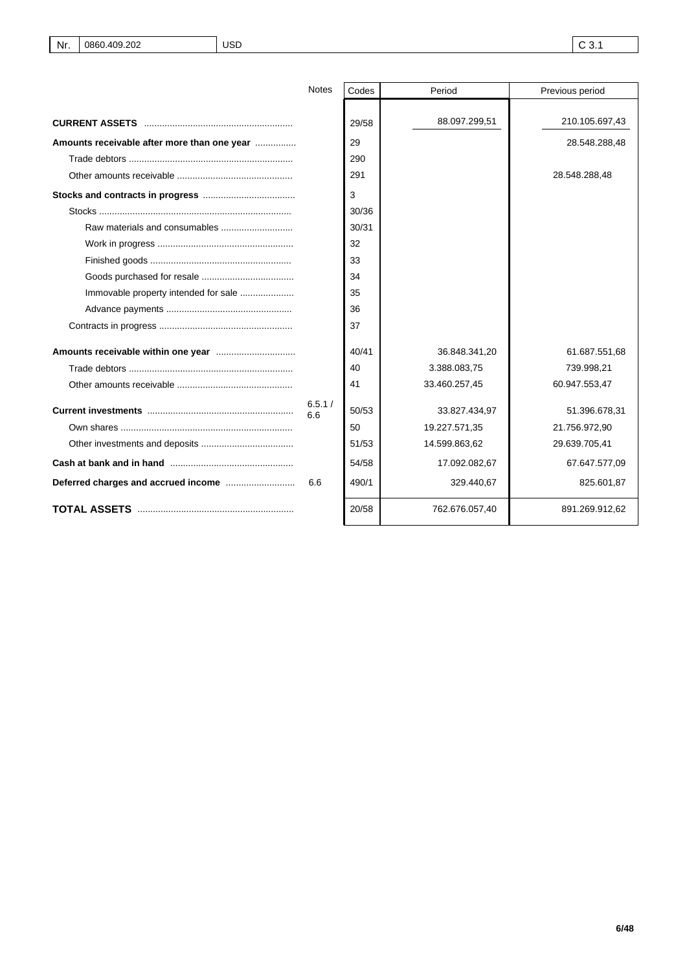|                                             | <b>Notes</b>  | Codes | Period         | Previous period |
|---------------------------------------------|---------------|-------|----------------|-----------------|
|                                             |               |       |                |                 |
|                                             |               | 29/58 | 88.097.299,51  | 210.105.697,43  |
| Amounts receivable after more than one year |               | 29    |                | 28.548.288,48   |
|                                             |               | 290   |                |                 |
|                                             |               | 291   |                | 28.548.288,48   |
|                                             |               | 3     |                |                 |
|                                             |               | 30/36 |                |                 |
|                                             |               | 30/31 |                |                 |
|                                             |               | 32    |                |                 |
|                                             |               | 33    |                |                 |
|                                             |               | 34    |                |                 |
|                                             |               | 35    |                |                 |
|                                             |               | 36    |                |                 |
|                                             |               | 37    |                |                 |
|                                             |               | 40/41 | 36.848.341,20  | 61.687.551,68   |
|                                             |               | 40    | 3.388.083,75   | 739.998,21      |
|                                             |               | 41    | 33.460.257,45  | 60.947.553,47   |
|                                             | 6.5.1/<br>6.6 | 50/53 | 33.827.434,97  | 51.396.678,31   |
|                                             |               | 50    | 19.227.571,35  | 21.756.972,90   |
|                                             |               | 51/53 | 14.599.863,62  | 29.639.705,41   |
|                                             |               | 54/58 | 17.092.082,67  | 67.647.577,09   |
|                                             | 6.6           | 490/1 | 329.440,67     | 825.601,87      |
|                                             |               | 20/58 | 762.676.057,40 | 891.269.912,62  |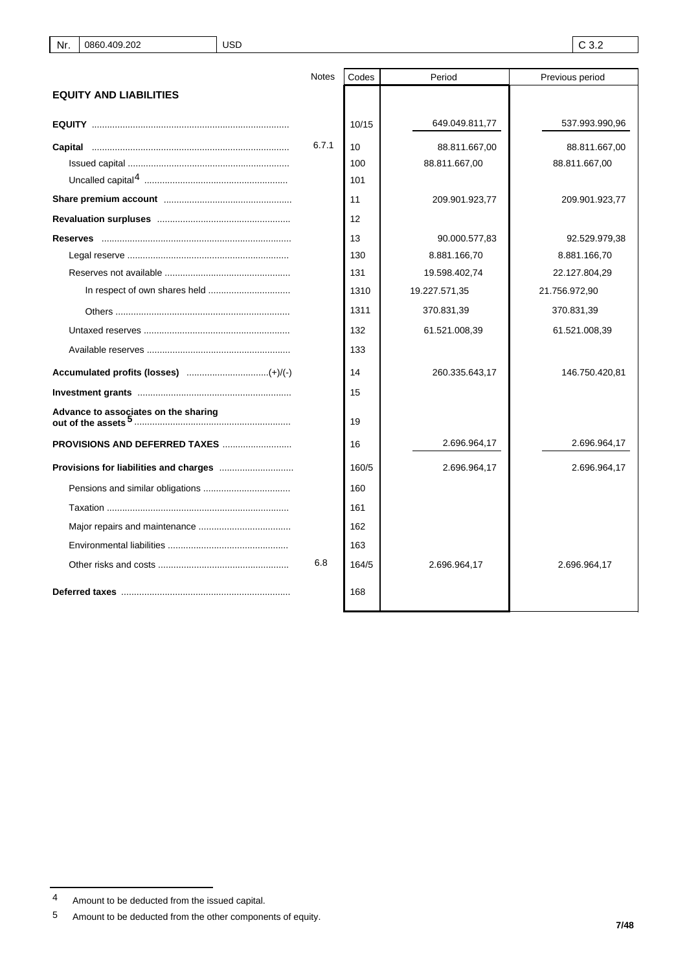|                                      | <b>Notes</b> | Codes | Period         | Previous period |
|--------------------------------------|--------------|-------|----------------|-----------------|
| <b>EQUITY AND LIABILITIES</b>        |              |       |                |                 |
|                                      |              | 10/15 | 649.049.811,77 | 537.993.990,96  |
|                                      | 6.7.1        | 10    | 88.811.667,00  | 88.811.667,00   |
|                                      |              | 100   | 88.811.667,00  | 88.811.667,00   |
|                                      |              | 101   |                |                 |
|                                      |              | 11    | 209.901.923,77 | 209.901.923,77  |
|                                      |              | 12    |                |                 |
|                                      |              | 13    | 90.000.577,83  | 92.529.979,38   |
|                                      |              | 130   | 8.881.166,70   | 8.881.166,70    |
|                                      |              | 131   | 19.598.402,74  | 22.127.804,29   |
|                                      |              | 1310  | 19.227.571,35  | 21.756.972,90   |
|                                      |              | 1311  | 370.831,39     | 370.831,39      |
|                                      |              | 132   | 61.521.008,39  | 61.521.008,39   |
|                                      |              | 133   |                |                 |
|                                      |              | 14    | 260.335.643,17 | 146.750.420,81  |
|                                      |              | 15    |                |                 |
| Advance to associates on the sharing |              | 19    |                |                 |
| <b>PROVISIONS AND DEFERRED TAXES</b> |              | 16    | 2.696.964,17   | 2.696.964,17    |
|                                      |              | 160/5 | 2.696.964,17   | 2.696.964,17    |
|                                      |              | 160   |                |                 |
|                                      |              | 161   |                |                 |
|                                      |              | 162   |                |                 |
|                                      |              | 163   |                |                 |
|                                      | 6.8          | 164/5 | 2.696.964,17   | 2.696.964,17    |
|                                      |              | 168   |                |                 |

<sup>4</sup> Amount to be deducted from the issued capital.

<sup>5</sup> Amount to be deducted from the other components of equity.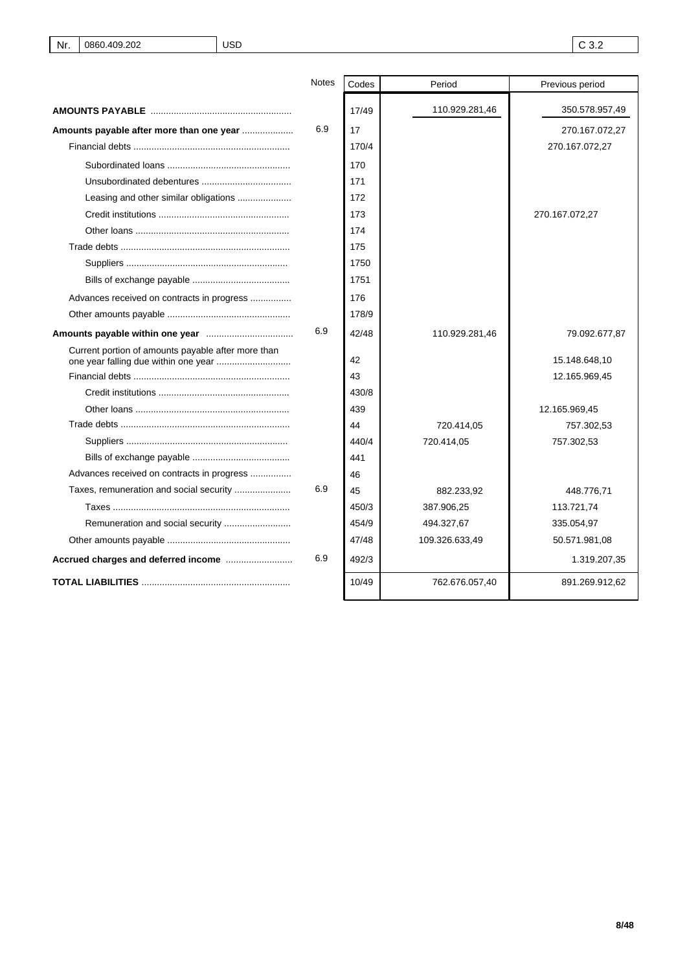|                                                    | <b>Notes</b> | Codes | Period         | Previous period |
|----------------------------------------------------|--------------|-------|----------------|-----------------|
|                                                    |              | 17/49 | 110.929.281,46 | 350.578.957,49  |
| Amounts payable after more than one year           | 6.9          | 17    |                | 270.167.072,27  |
|                                                    |              | 170/4 |                | 270.167.072,27  |
|                                                    |              | 170   |                |                 |
|                                                    |              | 171   |                |                 |
|                                                    |              | 172   |                |                 |
|                                                    |              | 173   |                | 270.167.072,27  |
|                                                    |              | 174   |                |                 |
|                                                    |              | 175   |                |                 |
|                                                    |              | 1750  |                |                 |
|                                                    |              | 1751  |                |                 |
| Advances received on contracts in progress         |              | 176   |                |                 |
|                                                    |              | 178/9 |                |                 |
|                                                    | 6.9          | 42/48 | 110.929.281,46 | 79.092.677,87   |
| Current portion of amounts payable after more than |              | 42    |                | 15.148.648,10   |
|                                                    |              | 43    |                | 12.165.969,45   |
|                                                    |              | 430/8 |                |                 |
|                                                    |              | 439   |                | 12.165.969,45   |
|                                                    |              | 44    | 720.414,05     | 757.302,53      |
|                                                    |              | 440/4 | 720.414,05     | 757.302,53      |
|                                                    |              | 441   |                |                 |
| Advances received on contracts in progress         |              | 46    |                |                 |
|                                                    | 6.9          | 45    | 882.233,92     | 448.776,71      |
|                                                    |              | 450/3 | 387.906,25     | 113.721,74      |
|                                                    |              | 454/9 | 494.327,67     | 335.054,97      |
|                                                    |              | 47/48 | 109.326.633,49 | 50.571.981,08   |
|                                                    | 6.9          | 492/3 |                | 1.319.207,35    |
|                                                    |              | 10/49 | 762.676.057,40 | 891.269.912,62  |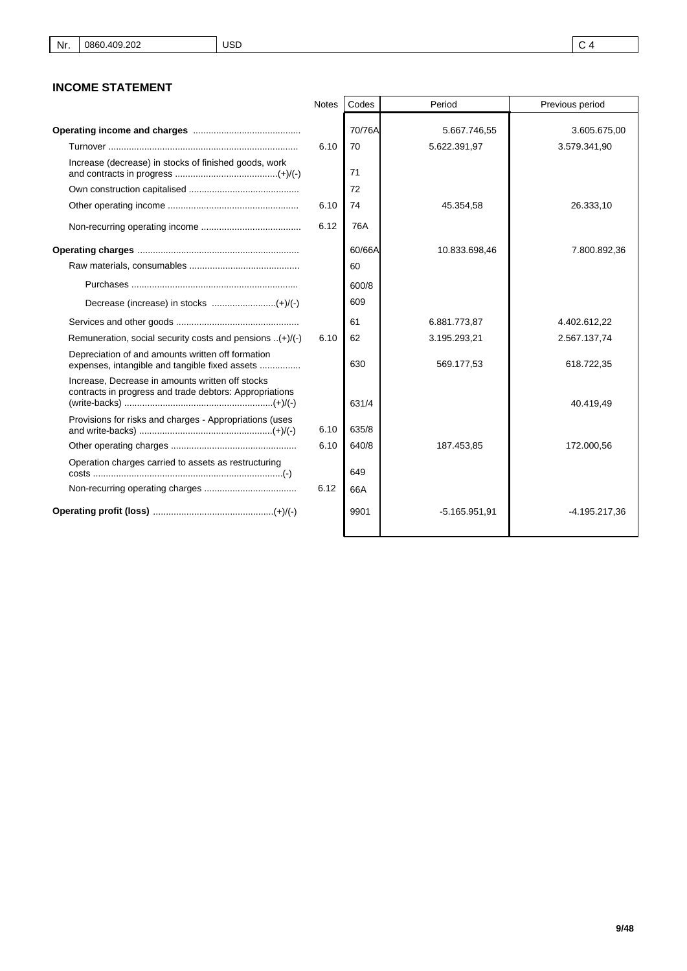# **INCOME STATEMENT**

|                                                                                                             | Notes | Codes        | Period          | Previous period |
|-------------------------------------------------------------------------------------------------------------|-------|--------------|-----------------|-----------------|
|                                                                                                             |       | 70/76A       | 5.667.746,55    | 3.605.675,00    |
|                                                                                                             | 6.10  | 70           | 5.622.391,97    | 3.579.341,90    |
| Increase (decrease) in stocks of finished goods, work                                                       |       | 71           |                 |                 |
|                                                                                                             |       | 72           |                 |                 |
|                                                                                                             | 6.10  | 74           | 45.354,58       | 26.333,10       |
|                                                                                                             | 6.12  | 76A          |                 |                 |
|                                                                                                             |       | 60/66A<br>60 | 10.833.698,46   | 7.800.892.36    |
|                                                                                                             |       | 600/8        |                 |                 |
|                                                                                                             |       | 609          |                 |                 |
|                                                                                                             |       | 61           | 6.881.773,87    | 4.402.612,22    |
| Remuneration, social security costs and pensions $(+)/(-)$                                                  | 6.10  | 62           | 3.195.293,21    | 2.567.137,74    |
| Depreciation of and amounts written off formation<br>expenses, intangible and tangible fixed assets         |       | 630          | 569.177,53      | 618.722,35      |
| Increase, Decrease in amounts written off stocks<br>contracts in progress and trade debtors: Appropriations |       | 631/4        |                 | 40.419,49       |
| Provisions for risks and charges - Appropriations (uses                                                     | 6.10  | 635/8        |                 |                 |
|                                                                                                             | 6.10  | 640/8        | 187.453,85      | 172.000,56      |
| Operation charges carried to assets as restructuring                                                        |       | 649          |                 |                 |
|                                                                                                             | 6.12  | 66A          |                 |                 |
|                                                                                                             |       | 9901         | $-5.165.951.91$ | -4.195.217,36   |

 $\mathsf{r}$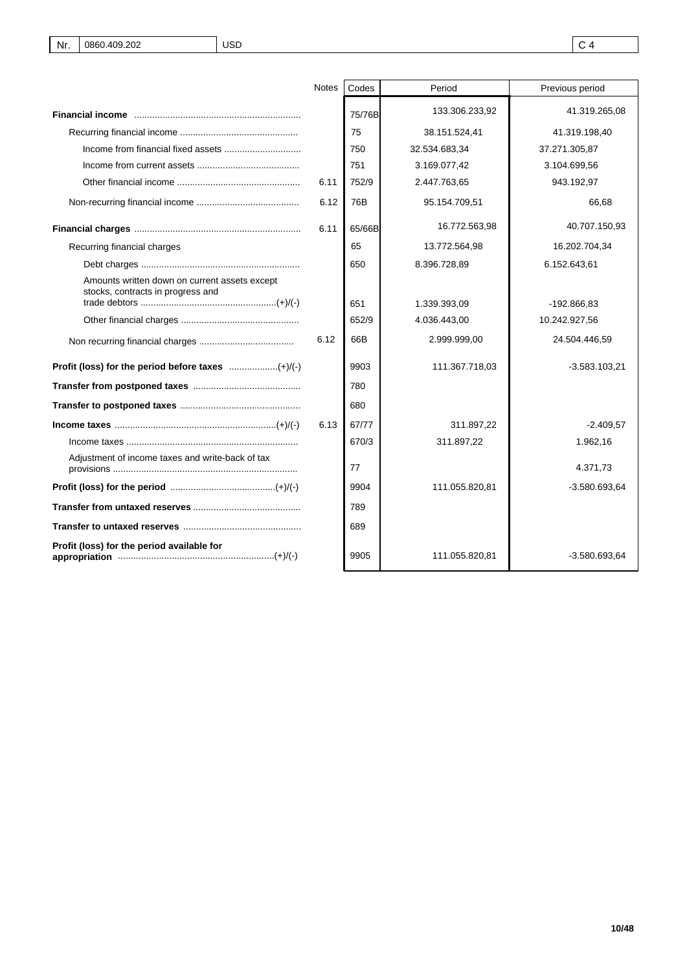|                                                                                    | <b>Notes</b> | Codes  | Period         | Previous period |
|------------------------------------------------------------------------------------|--------------|--------|----------------|-----------------|
|                                                                                    |              | 75/76B | 133.306.233,92 | 41.319.265,08   |
|                                                                                    |              | 75     | 38.151.524,41  | 41.319.198,40   |
|                                                                                    |              | 750    | 32.534.683,34  | 37.271.305,87   |
|                                                                                    |              | 751    | 3.169.077,42   | 3.104.699,56    |
|                                                                                    | 6.11         | 752/9  | 2.447.763,65   | 943.192,97      |
|                                                                                    | 6.12         | 76B    | 95.154.709,51  | 66,68           |
|                                                                                    | 6.11         | 65/66B | 16.772.563,98  | 40.707.150,93   |
| Recurring financial charges                                                        |              | 65     | 13.772.564,98  | 16.202.704,34   |
|                                                                                    |              | 650    | 8.396.728,89   | 6.152.643,61    |
| Amounts written down on current assets except<br>stocks, contracts in progress and |              | 651    |                |                 |
|                                                                                    |              |        | 1.339.393,09   | -192.866.83     |
|                                                                                    |              | 652/9  | 4.036.443,00   | 10.242.927,56   |
|                                                                                    | 6.12         | 66B    | 2.999.999,00   | 24.504.446,59   |
|                                                                                    |              | 9903   | 111.367.718,03 | $-3.583.103.21$ |
|                                                                                    |              | 780    |                |                 |
|                                                                                    |              | 680    |                |                 |
|                                                                                    | 6.13         | 67/77  | 311.897.22     | $-2.409.57$     |
| $income\ taxes\ 1000$                                                              |              | 670/3  | 311.897,22     | 1.962,16        |
| Adjustment of income taxes and write-back of tax                                   |              | 77     |                | 4.371,73        |
|                                                                                    |              | 9904   | 111.055.820,81 | $-3.580.693,64$ |
|                                                                                    |              | 789    |                |                 |
|                                                                                    |              | 689    |                |                 |
| Profit (loss) for the period available for                                         |              | 9905   | 111.055.820,81 | $-3.580.693.64$ |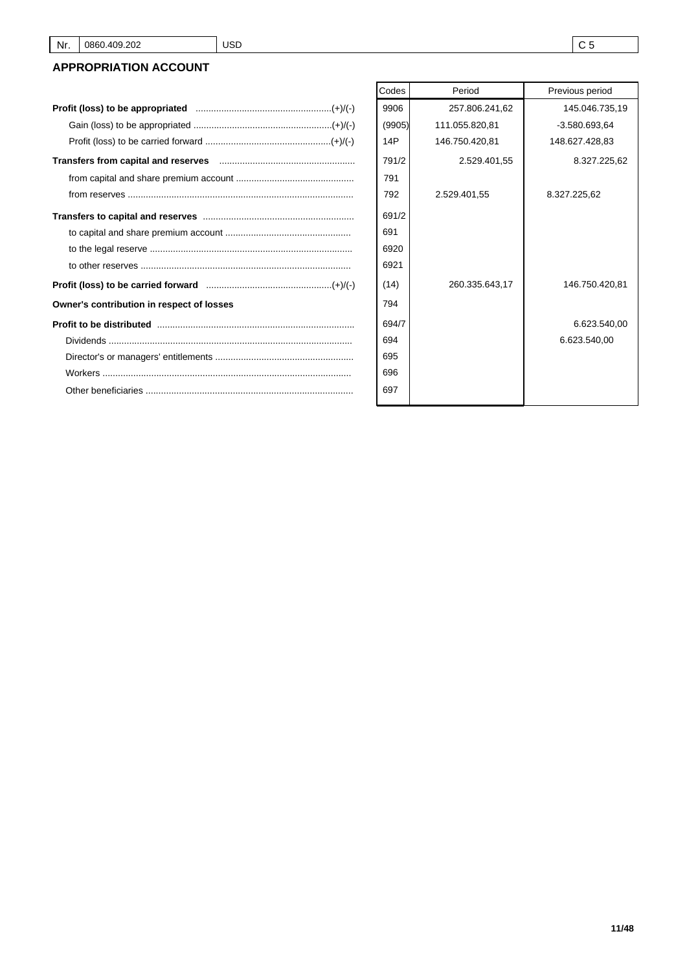# **APPROPRIATION ACCOUNT**

|                                                                                                                                                                                                                                                                                                                                                                                                                                 | 9906   | 257.806.241,62 | 145.046.     |
|---------------------------------------------------------------------------------------------------------------------------------------------------------------------------------------------------------------------------------------------------------------------------------------------------------------------------------------------------------------------------------------------------------------------------------|--------|----------------|--------------|
|                                                                                                                                                                                                                                                                                                                                                                                                                                 | (9905) | 111.055.820,81 | $-3.580.693$ |
|                                                                                                                                                                                                                                                                                                                                                                                                                                 | 14P    | 146.750.420,81 | 148.627.428  |
|                                                                                                                                                                                                                                                                                                                                                                                                                                 | 791/2  | 2.529.401,55   | 8.327.       |
|                                                                                                                                                                                                                                                                                                                                                                                                                                 | 791    |                |              |
| $from \, \, \text{reserves} \, \, \ldots \, \, \ldots \, \, \ldots \, \, \ldots \, \, \ldots \, \, \ldots \, \, \ldots \, \, \ldots \, \, \ldots \, \, \ldots \, \, \ldots \, \, \ldots \, \, \ldots \, \, \ldots \, \, \ldots \, \, \ldots \, \, \ldots \, \, \ldots \, \, \ldots \, \, \ldots \, \, \ldots \, \, \ldots \, \, \ldots \, \, \ldots \, \, \ldots \, \, \ldots \, \, \ldots \, \, \ldots \, \, \ldots \, \, \ld$ | 792    | 2.529.401,55   | 8.327.225,62 |
|                                                                                                                                                                                                                                                                                                                                                                                                                                 | 691/2  |                |              |
|                                                                                                                                                                                                                                                                                                                                                                                                                                 | 691    |                |              |
|                                                                                                                                                                                                                                                                                                                                                                                                                                 | 6920   |                |              |
|                                                                                                                                                                                                                                                                                                                                                                                                                                 | 6921   |                |              |
|                                                                                                                                                                                                                                                                                                                                                                                                                                 | (14)   | 260.335.643,17 | 146.750.     |
| Owner's contribution in respect of losses                                                                                                                                                                                                                                                                                                                                                                                       | 794    |                |              |
| Profit to be distributed manufactured controlled and profit to be distributed manufactured and profit to be distributed.                                                                                                                                                                                                                                                                                                        | 694/7  |                | 6.623.       |
|                                                                                                                                                                                                                                                                                                                                                                                                                                 | 694    |                | 6.623.540    |
|                                                                                                                                                                                                                                                                                                                                                                                                                                 | 695    |                |              |
|                                                                                                                                                                                                                                                                                                                                                                                                                                 | 696    |                |              |
|                                                                                                                                                                                                                                                                                                                                                                                                                                 | 697    |                |              |
|                                                                                                                                                                                                                                                                                                                                                                                                                                 |        |                |              |

| Codes  | Period         | Previous period |
|--------|----------------|-----------------|
| 9906   | 257.806.241,62 | 145.046.735,19  |
| (9905) | 111.055.820,81 | $-3.580.693.64$ |
| 14P    | 146.750.420,81 | 148.627.428,83  |
| 791/2  | 2.529.401,55   | 8.327.225,62    |
| 791    |                |                 |
| 792    | 2.529.401,55   | 8.327.225,62    |
| 691/2  |                |                 |
| 691    |                |                 |
| 6920   |                |                 |
| 6921   |                |                 |
| (14)   | 260.335.643,17 | 146.750.420,81  |
| 794    |                |                 |
| 694/7  |                | 6.623.540,00    |
| 694    |                | 6.623.540,00    |
| 695    |                |                 |
| 696    |                |                 |
| 697    |                |                 |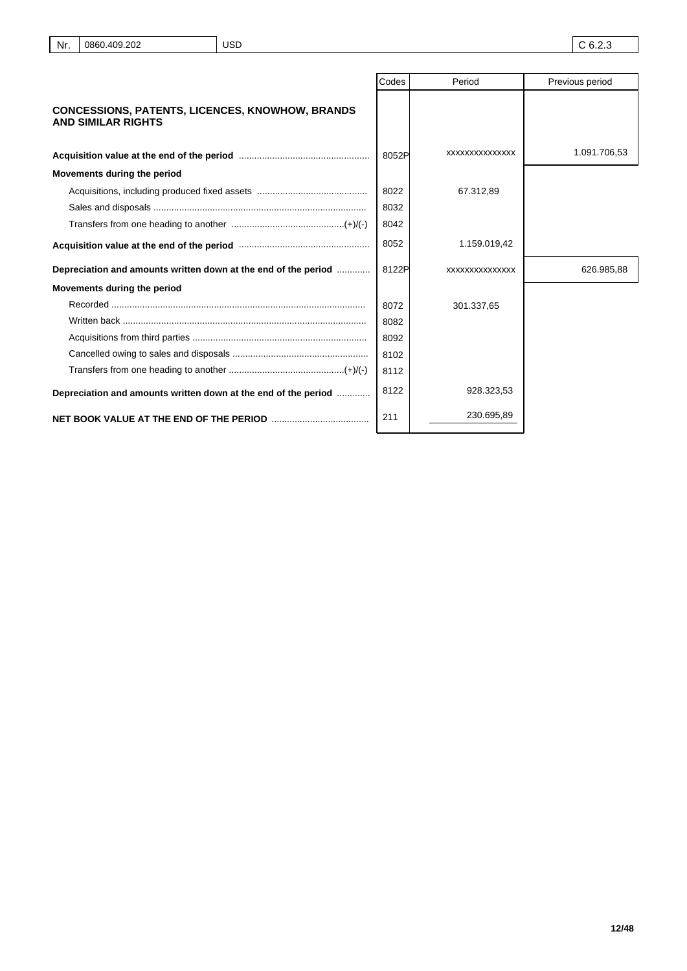|                                                                                                                 | Codes | Period         | Previous period |
|-----------------------------------------------------------------------------------------------------------------|-------|----------------|-----------------|
| <b>CONCESSIONS, PATENTS, LICENCES, KNOWHOW, BRANDS</b><br><b>AND SIMILAR RIGHTS</b>                             |       |                |                 |
|                                                                                                                 | 8052P | XXXXXXXXXXXXXX | 1.091.706,53    |
| Movements during the period                                                                                     |       |                |                 |
|                                                                                                                 | 8022  | 67.312.89      |                 |
|                                                                                                                 | 8032  |                |                 |
|                                                                                                                 | 8042  |                |                 |
| Acquisition value at the end of the period manufactured contains and acquisition value at the end of the period | 8052  | 1.159.019,42   |                 |
| Depreciation and amounts written down at the end of the period                                                  | 8122P | XXXXXXXXXXXXXX | 626.985,88      |
| Movements during the period                                                                                     |       |                |                 |
|                                                                                                                 | 8072  | 301.337.65     |                 |
|                                                                                                                 | 8082  |                |                 |
|                                                                                                                 | 8092  |                |                 |
|                                                                                                                 | 8102  |                |                 |
|                                                                                                                 | 8112  |                |                 |
| Depreciation and amounts written down at the end of the period                                                  | 8122  | 928.323,53     |                 |
|                                                                                                                 | 211   | 230.695,89     |                 |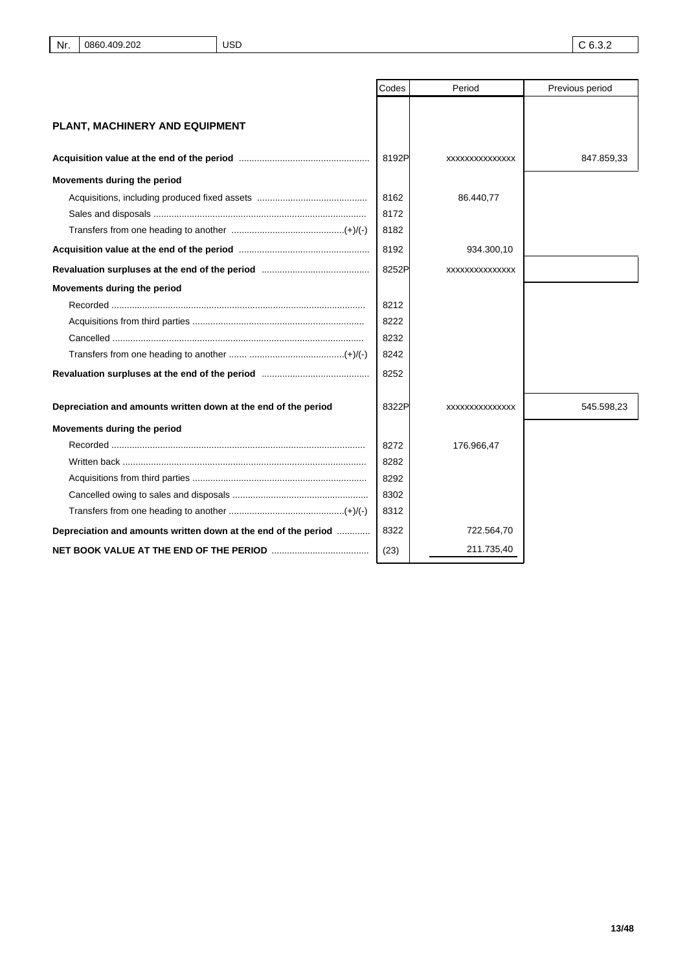|                                                                | Codes | Period         | Previous period |
|----------------------------------------------------------------|-------|----------------|-----------------|
|                                                                |       |                |                 |
| PLANT, MACHINERY AND EQUIPMENT                                 |       |                |                 |
|                                                                |       |                |                 |
|                                                                | 8192P | XXXXXXXXXXXXXX | 847.859,33      |
| Movements during the period                                    |       |                |                 |
|                                                                | 8162  | 86.440,77      |                 |
|                                                                | 8172  |                |                 |
|                                                                | 8182  |                |                 |
|                                                                | 8192  | 934.300,10     |                 |
|                                                                | 8252P | XXXXXXXXXXXXXX |                 |
| Movements during the period                                    |       |                |                 |
|                                                                | 8212  |                |                 |
|                                                                | 8222  |                |                 |
|                                                                | 8232  |                |                 |
|                                                                | 8242  |                |                 |
|                                                                | 8252  |                |                 |
| Depreciation and amounts written down at the end of the period | 8322P | XXXXXXXXXXXXXX | 545.598,23      |
| Movements during the period                                    |       |                |                 |
|                                                                | 8272  | 176.966,47     |                 |
|                                                                | 8282  |                |                 |
|                                                                | 8292  |                |                 |
|                                                                | 8302  |                |                 |
|                                                                | 8312  |                |                 |
| Depreciation and amounts written down at the end of the period | 8322  | 722.564,70     |                 |
|                                                                | (23)  | 211.735,40     |                 |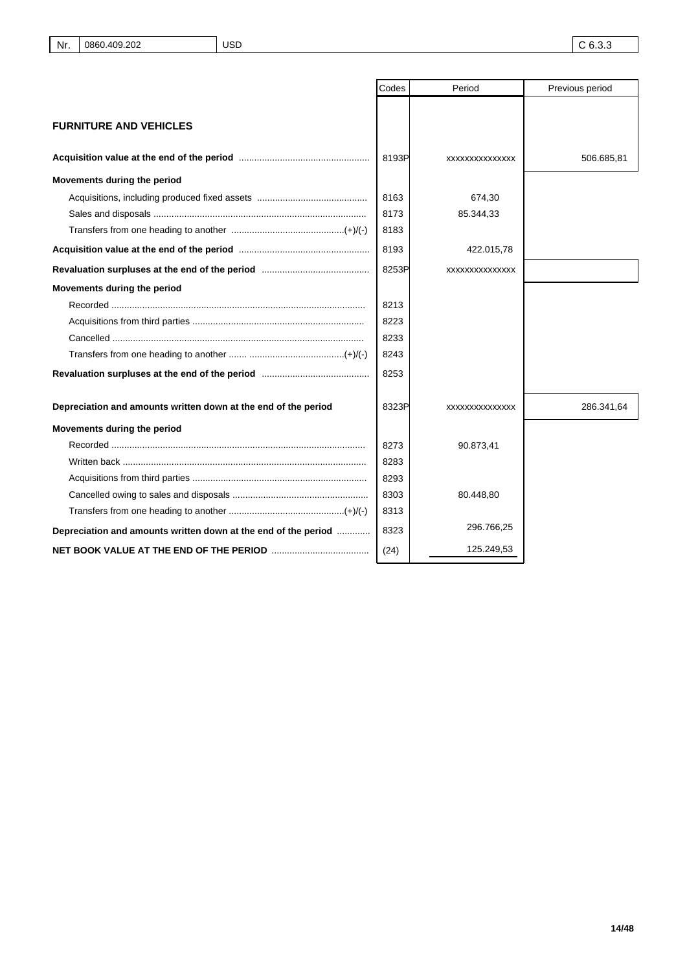|                                                                | Codes | Period         | Previous period |
|----------------------------------------------------------------|-------|----------------|-----------------|
|                                                                |       |                |                 |
| <b>FURNITURE AND VEHICLES</b>                                  |       |                |                 |
|                                                                | 8193P | XXXXXXXXXXXXXX | 506.685,81      |
| Movements during the period                                    |       |                |                 |
|                                                                | 8163  | 674,30         |                 |
|                                                                | 8173  | 85.344,33      |                 |
|                                                                | 8183  |                |                 |
|                                                                | 8193  | 422.015,78     |                 |
|                                                                | 8253P | XXXXXXXXXXXXXX |                 |
| Movements during the period                                    |       |                |                 |
|                                                                | 8213  |                |                 |
|                                                                | 8223  |                |                 |
|                                                                | 8233  |                |                 |
|                                                                | 8243  |                |                 |
|                                                                | 8253  |                |                 |
| Depreciation and amounts written down at the end of the period | 8323P | XXXXXXXXXXXXXX | 286.341,64      |
| Movements during the period                                    |       |                |                 |
|                                                                | 8273  | 90.873,41      |                 |
| Written back ………………………………………………………………………………                    | 8283  |                |                 |
|                                                                | 8293  |                |                 |
|                                                                | 8303  | 80.448,80      |                 |
|                                                                | 8313  |                |                 |
| Depreciation and amounts written down at the end of the period | 8323  | 296.766,25     |                 |
|                                                                | (24)  | 125.249,53     |                 |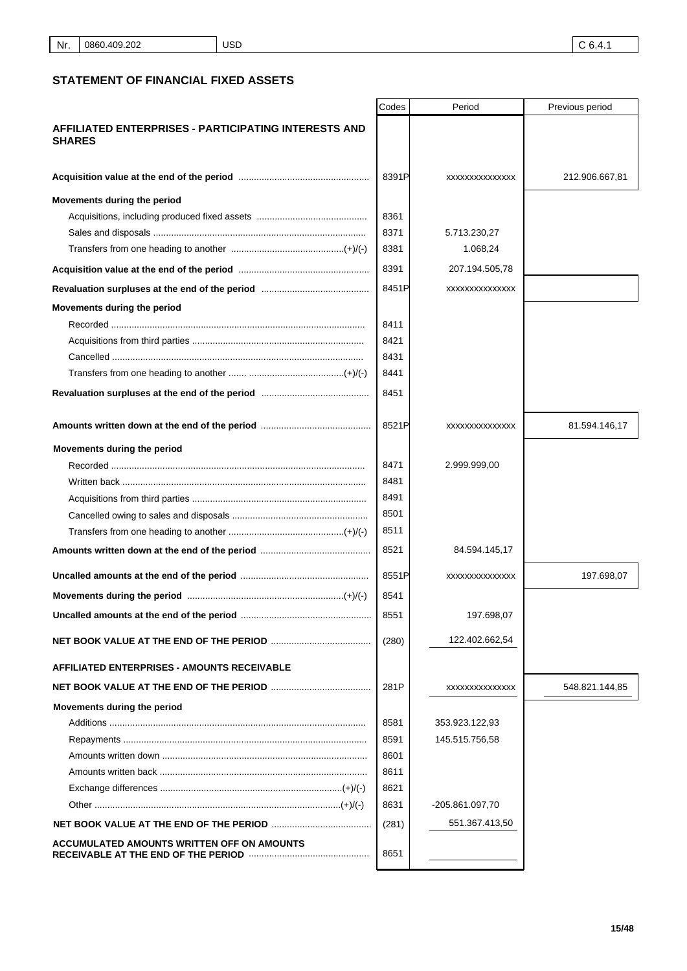# **STATEMENT OF FINANCIAL FIXED ASSETS**

|                                                                              | Codes | Period                 | Previous period |
|------------------------------------------------------------------------------|-------|------------------------|-----------------|
| <b>AFFILIATED ENTERPRISES - PARTICIPATING INTERESTS AND</b><br><b>SHARES</b> |       |                        |                 |
|                                                                              | 8391P | XXXXXXXXXXXXXX         | 212.906.667,81  |
| Movements during the period                                                  |       |                        |                 |
|                                                                              | 8361  |                        |                 |
|                                                                              | 8371  | 5.713.230,27           |                 |
|                                                                              | 8381  | 1.068,24               |                 |
|                                                                              | 8391  | 207.194.505,78         |                 |
|                                                                              | 8451P | XXXXXXXXXXXXXX         |                 |
| Movements during the period                                                  |       |                        |                 |
|                                                                              | 8411  |                        |                 |
|                                                                              | 8421  |                        |                 |
|                                                                              | 8431  |                        |                 |
|                                                                              | 8441  |                        |                 |
|                                                                              | 8451  |                        |                 |
|                                                                              | 8521P | <b>XXXXXXXXXXXXXXX</b> | 81.594.146,17   |
| Movements during the period                                                  |       |                        |                 |
|                                                                              | 8471  | 2.999.999,00           |                 |
|                                                                              | 8481  |                        |                 |
|                                                                              | 8491  |                        |                 |
|                                                                              | 8501  |                        |                 |
|                                                                              | 8511  |                        |                 |
|                                                                              | 8521  | 84.594.145,17          |                 |
|                                                                              | 8551P | XXXXXXXXXXXXXX         | 197.698,07      |
|                                                                              | 8541  |                        |                 |
|                                                                              | 8551  | 197.698,07             |                 |
|                                                                              | (280) | 122.402.662,54         |                 |
| <b>AFFILIATED ENTERPRISES - AMOUNTS RECEIVABLE</b>                           |       |                        |                 |
|                                                                              | 281P  | XXXXXXXXXXXXXX         | 548.821.144,85  |
| Movements during the period                                                  |       |                        |                 |
|                                                                              | 8581  | 353.923.122,93         |                 |
|                                                                              | 8591  | 145.515.756,58         |                 |
|                                                                              | 8601  |                        |                 |
|                                                                              | 8611  |                        |                 |
|                                                                              | 8621  |                        |                 |
|                                                                              | 8631  | -205.861.097,70        |                 |
|                                                                              | (281) | 551.367.413,50         |                 |
| ACCUMULATED AMOUNTS WRITTEN OFF ON AMOUNTS                                   | 8651  |                        |                 |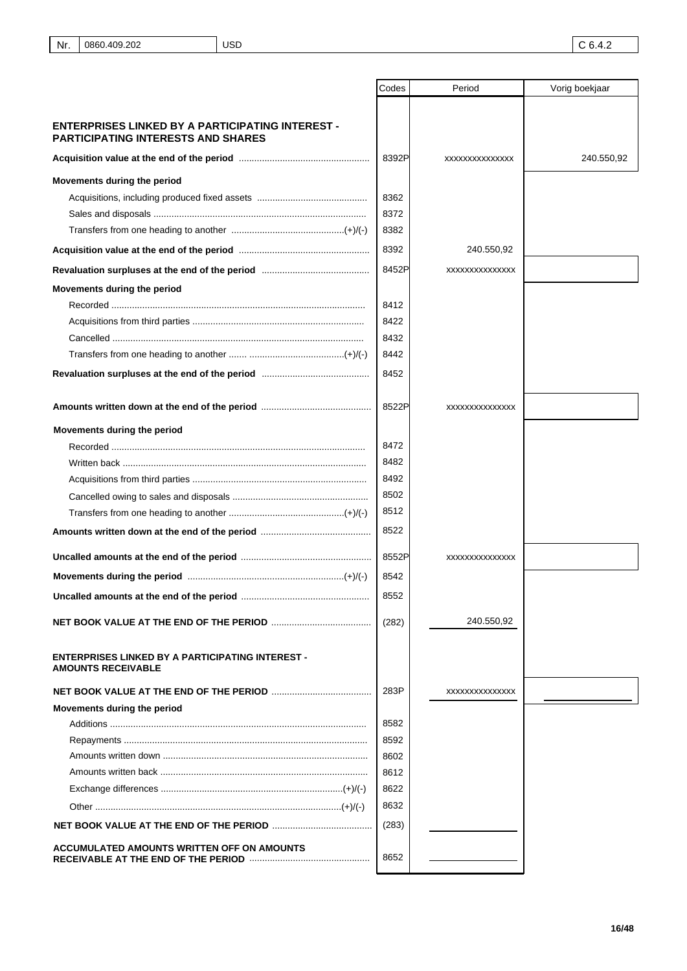|                                                                                               | Codes | Period         | Vorig boekjaar |
|-----------------------------------------------------------------------------------------------|-------|----------------|----------------|
|                                                                                               |       |                |                |
| ENTERPRISES LINKED BY A PARTICIPATING INTEREST -<br><b>PARTICIPATING INTERESTS AND SHARES</b> |       |                |                |
|                                                                                               | 8392P | XXXXXXXXXXXXXX | 240.550,92     |
| Movements during the period                                                                   |       |                |                |
|                                                                                               | 8362  |                |                |
|                                                                                               | 8372  |                |                |
|                                                                                               | 8382  |                |                |
|                                                                                               | 8392  | 240.550,92     |                |
|                                                                                               | 8452P | XXXXXXXXXXXXXX |                |
| Movements during the period                                                                   |       |                |                |
|                                                                                               | 8412  |                |                |
|                                                                                               | 8422  |                |                |
|                                                                                               | 8432  |                |                |
|                                                                                               | 8442  |                |                |
|                                                                                               | 8452  |                |                |
|                                                                                               |       |                |                |
|                                                                                               | 8522P | XXXXXXXXXXXXXX |                |
| Movements during the period                                                                   |       |                |                |
|                                                                                               | 8472  |                |                |
|                                                                                               | 8482  |                |                |
|                                                                                               | 8492  |                |                |
|                                                                                               | 8502  |                |                |
|                                                                                               | 8512  |                |                |
|                                                                                               | 8522  |                |                |
|                                                                                               | 8552P | XXXXXXXXXXXXXX |                |
|                                                                                               | 8542  |                |                |
| Uncalled amounts at the end of the period                                                     | 8552  |                |                |
|                                                                                               | (282) | 240.550,92     |                |
|                                                                                               |       |                |                |
| <b>ENTERPRISES LINKED BY A PARTICIPATING INTEREST -</b><br><b>AMOUNTS RECEIVABLE</b>          |       |                |                |
|                                                                                               | 283P  | XXXXXXXXXXXXXX |                |
| Movements during the period                                                                   |       |                |                |
|                                                                                               | 8582  |                |                |
|                                                                                               | 8592  |                |                |
|                                                                                               | 8602  |                |                |
|                                                                                               | 8612  |                |                |
|                                                                                               | 8622  |                |                |
|                                                                                               | 8632  |                |                |
|                                                                                               | (283) |                |                |
| <b>ACCUMULATED AMOUNTS WRITTEN OFF ON AMOUNTS</b>                                             | 8652  |                |                |
|                                                                                               |       |                |                |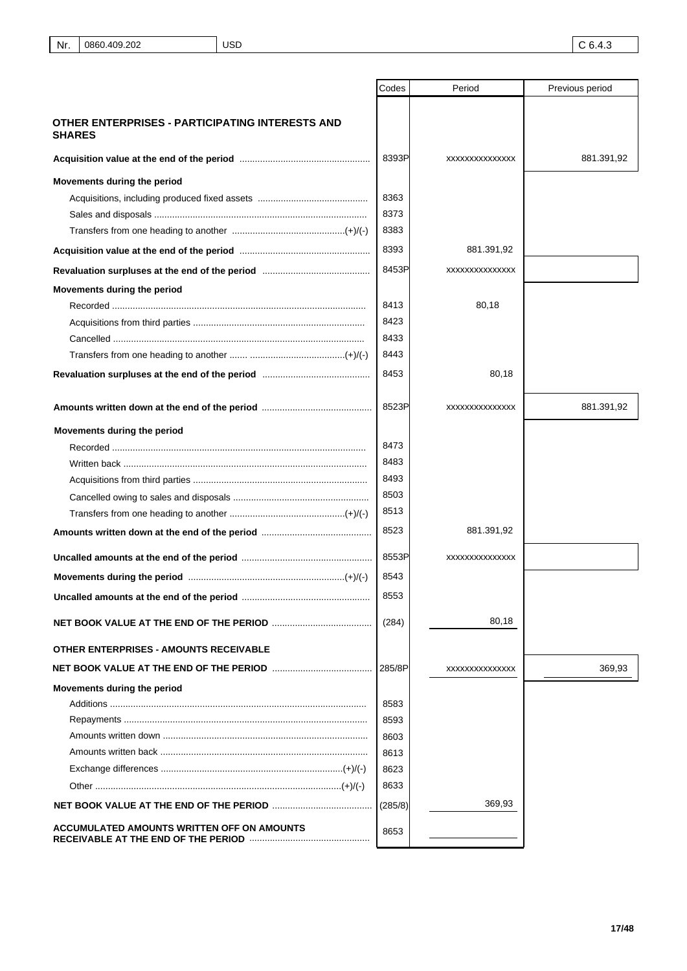|                                                                  | Codes   | Period         | Previous period |
|------------------------------------------------------------------|---------|----------------|-----------------|
|                                                                  |         |                |                 |
| OTHER ENTERPRISES - PARTICIPATING INTERESTS AND<br><b>SHARES</b> |         |                |                 |
|                                                                  | 8393P   | XXXXXXXXXXXXXX | 881.391,92      |
| Movements during the period                                      |         |                |                 |
|                                                                  | 8363    |                |                 |
|                                                                  | 8373    |                |                 |
|                                                                  | 8383    |                |                 |
|                                                                  | 8393    | 881.391,92     |                 |
|                                                                  | 8453P   | XXXXXXXXXXXXXX |                 |
| Movements during the period                                      |         |                |                 |
|                                                                  | 8413    | 80,18          |                 |
|                                                                  | 8423    |                |                 |
|                                                                  | 8433    |                |                 |
|                                                                  | 8443    |                |                 |
|                                                                  | 8453    | 80,18          |                 |
|                                                                  | 8523P   | XXXXXXXXXXXXXX | 881.391,92      |
| Movements during the period                                      |         |                |                 |
|                                                                  | 8473    |                |                 |
|                                                                  | 8483    |                |                 |
|                                                                  | 8493    |                |                 |
|                                                                  | 8503    |                |                 |
|                                                                  | 8513    |                |                 |
|                                                                  | 8523    | 881.391,92     |                 |
|                                                                  | 8553P   | XXXXXXXXXXXXXX |                 |
|                                                                  | 8543    |                |                 |
| Uncalled amounts at the end of the period                        | 8553    |                |                 |
|                                                                  | (284)   | 80,18          |                 |
| OTHER ENTERPRISES - AMOUNTS RECEIVABLE                           |         |                |                 |
|                                                                  | 285/8P  | XXXXXXXXXXXXXX | 369,93          |
| Movements during the period                                      |         |                |                 |
|                                                                  | 8583    |                |                 |
|                                                                  | 8593    |                |                 |
|                                                                  | 8603    |                |                 |
|                                                                  | 8613    |                |                 |
|                                                                  | 8623    |                |                 |
|                                                                  | 8633    |                |                 |
|                                                                  | (285/8) | 369,93         |                 |
| ACCUMULATED AMOUNTS WRITTEN OFF ON AMOUNTS                       | 8653    |                |                 |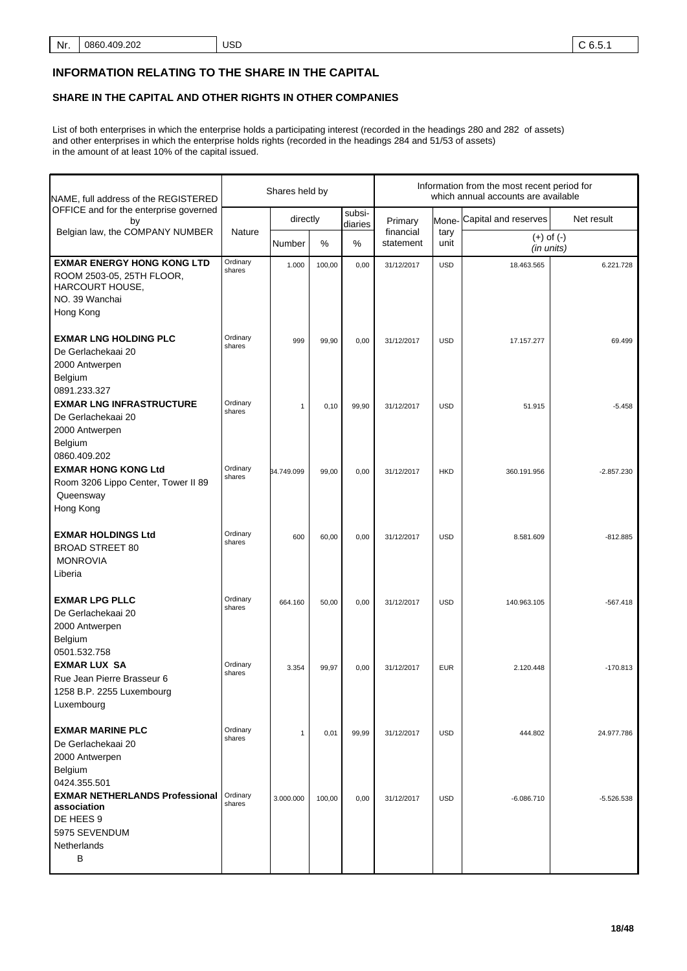# **INFORMATION RELATING TO THE SHARE IN THE CAPITAL**

# **SHARE IN THE CAPITAL AND OTHER RIGHTS IN OTHER COMPANIES**

List of both enterprises in which the enterprise holds a participating interest (recorded in the headings 280 and 282 of assets) and other enterprises in which the enterprise holds rights (recorded in the headings 284 and 51/53 of assets) in the amount of at least 10% of the capital issued.

| NAME, full address of the REGISTERED                                                                             |                    | Shares held by |        |                   |                                        | Information from the most recent period for<br>which annual accounts are available |                              |              |
|------------------------------------------------------------------------------------------------------------------|--------------------|----------------|--------|-------------------|----------------------------------------|------------------------------------------------------------------------------------|------------------------------|--------------|
| OFFICE and for the enterprise governed<br>by                                                                     |                    | directly       |        | subsi-<br>diaries | Primary                                | Mone-                                                                              | Capital and reserves         | Net result   |
| Belgian law, the COMPANY NUMBER                                                                                  | Nature             | Number         | $\%$   | %                 | financial<br>tary<br>statement<br>unit |                                                                                    | $(+)$ of $(-)$<br>(in units) |              |
| <b>EXMAR ENERGY HONG KONG LTD</b><br>ROOM 2503-05, 25TH FLOOR,<br>HARCOURT HOUSE,<br>NO. 39 Wanchai<br>Hong Kong | Ordinary<br>shares | 1.000          | 100,00 | 0,00              | 31/12/2017                             | <b>USD</b>                                                                         | 18.463.565                   | 6.221.728    |
| <b>EXMAR LNG HOLDING PLC</b><br>De Gerlachekaai 20<br>2000 Antwerpen<br>Belgium<br>0891.233.327                  | Ordinary<br>shares | 999            | 99,90  | 0,00              | 31/12/2017                             | <b>USD</b>                                                                         | 17.157.277                   | 69.499       |
| <b>EXMAR LNG INFRASTRUCTURE</b><br>De Gerlachekaai 20<br>2000 Antwerpen<br>Belgium                               | Ordinary<br>shares | $\mathbf{1}$   | 0,10   | 99,90             | 31/12/2017                             | <b>USD</b>                                                                         | 51.915                       | $-5.458$     |
| 0860.409.202<br><b>EXMAR HONG KONG Ltd</b><br>Room 3206 Lippo Center, Tower II 89<br>Queensway<br>Hong Kong      | Ordinary<br>shares | 34.749.099     | 99,00  | 0,00              | 31/12/2017                             | <b>HKD</b>                                                                         | 360.191.956                  | $-2.857.230$ |
| <b>EXMAR HOLDINGS Ltd</b><br><b>BROAD STREET 80</b><br><b>MONROVIA</b><br>Liberia                                | Ordinary<br>shares | 600            | 60,00  | 0,00              | 31/12/2017                             | <b>USD</b>                                                                         | 8.581.609                    | $-812.885$   |
| <b>EXMAR LPG PLLC</b><br>De Gerlachekaai 20<br>2000 Antwerpen<br>Belgium<br>0501.532.758                         | Ordinary<br>shares | 664.160        | 50,00  | 0,00              | 31/12/2017                             | <b>USD</b>                                                                         | 140.963.105                  | $-567.418$   |
| <b>EXMAR LUX SA</b><br>Rue Jean Pierre Brasseur 6<br>1258 B.P. 2255 Luxembourg<br>Luxembourg                     | Ordinary<br>shares | 3.354          | 99,97  | 0,00              | 31/12/2017                             | <b>EUR</b>                                                                         | 2.120.448                    | $-170.813$   |
| <b>EXMAR MARINE PLC</b><br>De Gerlachekaai 20<br>2000 Antwerpen<br>Belgium<br>0424.355.501                       | Ordinary<br>shares | $\mathbf{1}$   | 0,01   | 99,99             | 31/12/2017                             | <b>USD</b>                                                                         | 444.802                      | 24.977.786   |
| <b>EXMAR NETHERLANDS Professional</b><br>association<br>DE HEES 9<br>5975 SEVENDUM<br>Netherlands<br>B           | Ordinary<br>shares | 3.000.000      | 100,00 | 0,00              | 31/12/2017                             | <b>USD</b>                                                                         | $-6.086.710$                 | $-5.526.538$ |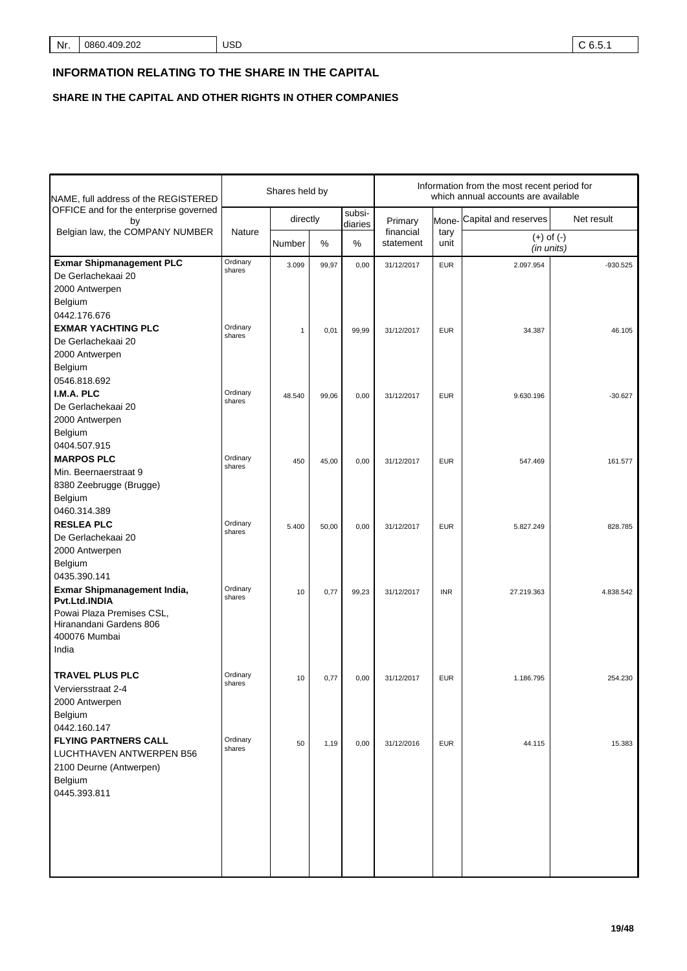# **INFORMATION RELATING TO THE SHARE IN THE CAPITAL**

**SHARE IN THE CAPITAL AND OTHER RIGHTS IN OTHER COMPANIES**

| NAME, full address of the REGISTERED                                                                          |                    | Shares held by |       |                   | Information from the most recent period for<br>which annual accounts are available |              |                              |            |  |
|---------------------------------------------------------------------------------------------------------------|--------------------|----------------|-------|-------------------|------------------------------------------------------------------------------------|--------------|------------------------------|------------|--|
| OFFICE and for the enterprise governed<br>by                                                                  |                    | directly       |       | subsi-<br>diaries | Primary<br>Mone-                                                                   |              | Capital and reserves         | Net result |  |
| Belgian law, the COMPANY NUMBER                                                                               | Nature             | Number         | %     | $\%$              | financial<br>statement                                                             | tary<br>unit | $(+)$ of $(-)$<br>(in units) |            |  |
| <b>Exmar Shipmanagement PLC</b><br>De Gerlachekaai 20<br>2000 Antwerpen                                       | Ordinary<br>shares | 3.099          | 99,97 | 0,00              | 31/12/2017                                                                         | <b>EUR</b>   | 2.097.954                    | $-930.525$ |  |
| Belgium<br>0442.176.676<br><b>EXMAR YACHTING PLC</b><br>De Gerlachekaai 20                                    | Ordinary<br>shares | $\mathbf{1}$   | 0,01  | 99,99             | 31/12/2017                                                                         | <b>EUR</b>   | 34.387                       | 46.105     |  |
| 2000 Antwerpen<br>Belgium<br>0546.818.692<br>I.M.A. PLC                                                       | Ordinary           |                |       |                   |                                                                                    |              |                              |            |  |
| De Gerlachekaai 20<br>2000 Antwerpen<br>Belgium                                                               | shares             | 48.540         | 99,06 | 0,00              | 31/12/2017                                                                         | <b>EUR</b>   | 9.630.196                    | $-30.627$  |  |
| 0404.507.915<br><b>MARPOS PLC</b><br>Min. Beernaerstraat 9<br>8380 Zeebrugge (Brugge)                         | Ordinary<br>shares | 450            | 45,00 | 0,00              | 31/12/2017                                                                         | <b>EUR</b>   | 547.469                      | 161.577    |  |
| Belgium<br>0460.314.389<br><b>RESLEA PLC</b><br>De Gerlachekaai 20                                            | Ordinary<br>shares | 5.400          | 50,00 | 0,00              | 31/12/2017                                                                         | <b>EUR</b>   | 5.827.249                    | 828.785    |  |
| 2000 Antwerpen<br>Belgium<br>0435.390.141<br>Exmar Shipmanagement India,                                      | Ordinary<br>shares | 10             | 0,77  | 99,23             | 31/12/2017                                                                         | <b>INR</b>   | 27.219.363                   | 4.838.542  |  |
| Pvt.Ltd.INDIA<br>Powai Plaza Premises CSL,<br>Hiranandani Gardens 806<br>400076 Mumbai<br>India               |                    |                |       |                   |                                                                                    |              |                              |            |  |
| <b>TRAVEL PLUS PLC</b><br>Verviersstraat 2-4<br>2000 Antwerpen<br>Belgium<br>0442.160.147                     | Ordinary<br>shares | 10             | 0,77  | 0,00              | 31/12/2017                                                                         | <b>EUR</b>   | 1.186.795                    | 254.230    |  |
| <b>FLYING PARTNERS CALL</b><br>LUCHTHAVEN ANTWERPEN B56<br>2100 Deurne (Antwerpen)<br>Belgium<br>0445.393.811 | Ordinary<br>shares | 50             | 1,19  | 0,00              | 31/12/2016                                                                         | <b>EUR</b>   | 44.115                       | 15.383     |  |
|                                                                                                               |                    |                |       |                   |                                                                                    |              |                              |            |  |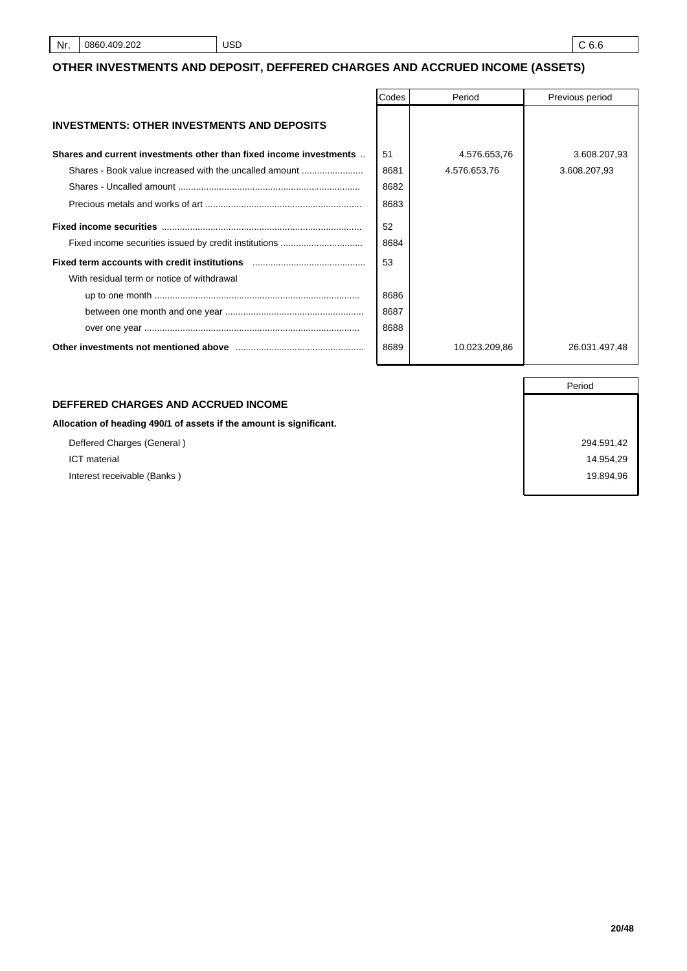#### **OTHER INVESTMENTS AND DEPOSIT, DEFFERED CHARGES AND ACCRUED INCOME (ASSETS)**

|                                                                    | Codes | Period        | Previous period |
|--------------------------------------------------------------------|-------|---------------|-----------------|
| <b>INVESTMENTS: OTHER INVESTMENTS AND DEPOSITS</b>                 |       |               |                 |
| Shares and current investments other than fixed income investments | 51    | 4.576.653,76  | 3.608.207,93    |
| Shares - Book value increased with the uncalled amount             | 8681  | 4.576.653,76  | 3.608.207,93    |
|                                                                    | 8682  |               |                 |
|                                                                    | 8683  |               |                 |
|                                                                    | 52    |               |                 |
|                                                                    | 8684  |               |                 |
|                                                                    | 53    |               |                 |
| With residual term or notice of withdrawal                         |       |               |                 |
|                                                                    | 8686  |               |                 |
|                                                                    | 8687  |               |                 |
|                                                                    | 8688  |               |                 |
|                                                                    | 8689  | 10.023.209,86 | 26.031.497,48   |

#### **DEFFERED CHARGES AND ACCRUED INCOME**

**Allocation of heading 490/1 of assets if the amount is significant.**

Deffered Charges (General ) 294.591,42 ICT material 14.954,29

Period Interest receivable (Banks ) 19.894,96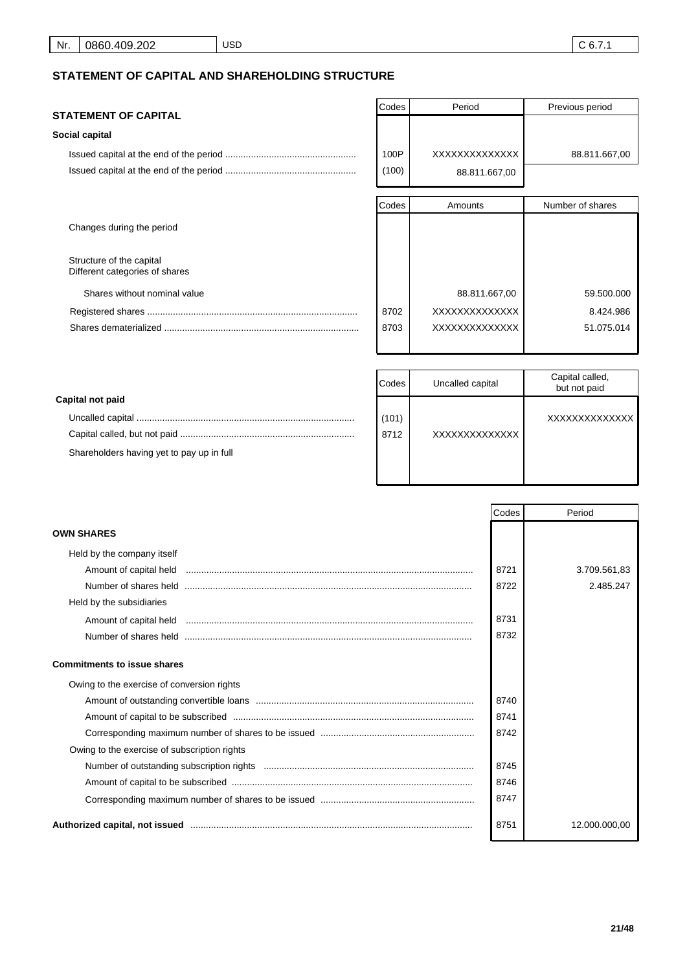# **STATEMENT OF CAPITAL AND SHAREHOLDING STRUCTURE**

| <b>STATEMENT OF CAPITAL</b>                                | Codes | Period        | Previous period  |
|------------------------------------------------------------|-------|---------------|------------------|
| Social capital                                             |       |               |                  |
|                                                            | 100P  | XXXXXXXXXXXXX | 88.811.667,00    |
|                                                            | (100) | 88.811.667,00 |                  |
|                                                            | Codes | Amounts       | Number of shares |
| Changes during the period                                  |       |               |                  |
| Structure of the capital<br>Different categories of shares |       |               |                  |
| Shares without nominal value                               |       | 88.811.667,00 | 59.500.000       |
|                                                            | 8702  | XXXXXXXXXXXXX | 8.424.986        |
|                                                            | 8703  | XXXXXXXXXXXXX | 51.075.014       |

|                                           | Codes | Uncalled capital | Capital called,<br>but not paid |
|-------------------------------------------|-------|------------------|---------------------------------|
| Capital not paid                          |       |                  |                                 |
|                                           | (101) |                  | XXXXXXXXXXXXXX                  |
|                                           | 8712  | XXXXXXXXXXXXXX   |                                 |
| Shareholders having yet to pay up in full |       |                  |                                 |
|                                           |       |                  |                                 |

|                                                                                                                | Codes | Period        |
|----------------------------------------------------------------------------------------------------------------|-------|---------------|
| <b>OWN SHARES</b>                                                                                              |       |               |
| Held by the company itself                                                                                     |       |               |
|                                                                                                                | 8721  | 3.709.561,83  |
|                                                                                                                | 8722  | 2.485.247     |
| Held by the subsidiaries                                                                                       |       |               |
|                                                                                                                | 8731  |               |
|                                                                                                                | 8732  |               |
| <b>Commitments to issue shares</b>                                                                             |       |               |
| Owing to the exercise of conversion rights                                                                     |       |               |
|                                                                                                                | 8740  |               |
|                                                                                                                | 8741  |               |
|                                                                                                                | 8742  |               |
| Owing to the exercise of subscription rights                                                                   |       |               |
|                                                                                                                | 8745  |               |
|                                                                                                                | 8746  |               |
|                                                                                                                | 8747  |               |
| Authorized capital, not issued manufactured manufactured and all the settlement of the settlement of the settl | 8751  | 12.000.000,00 |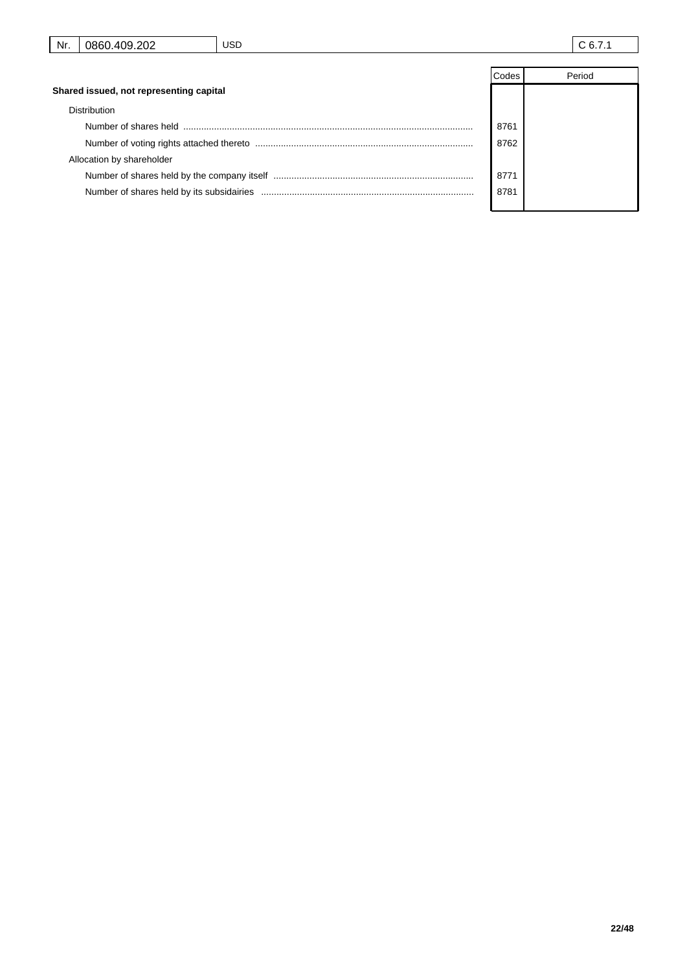|                                         | Codes | Period |
|-----------------------------------------|-------|--------|
| Shared issued, not representing capital |       |        |
| <b>Distribution</b>                     |       |        |
|                                         | 8761  |        |
|                                         | 8762  |        |
| Allocation by shareholder               |       |        |
|                                         | 8771  |        |
|                                         | 8781  |        |
|                                         |       |        |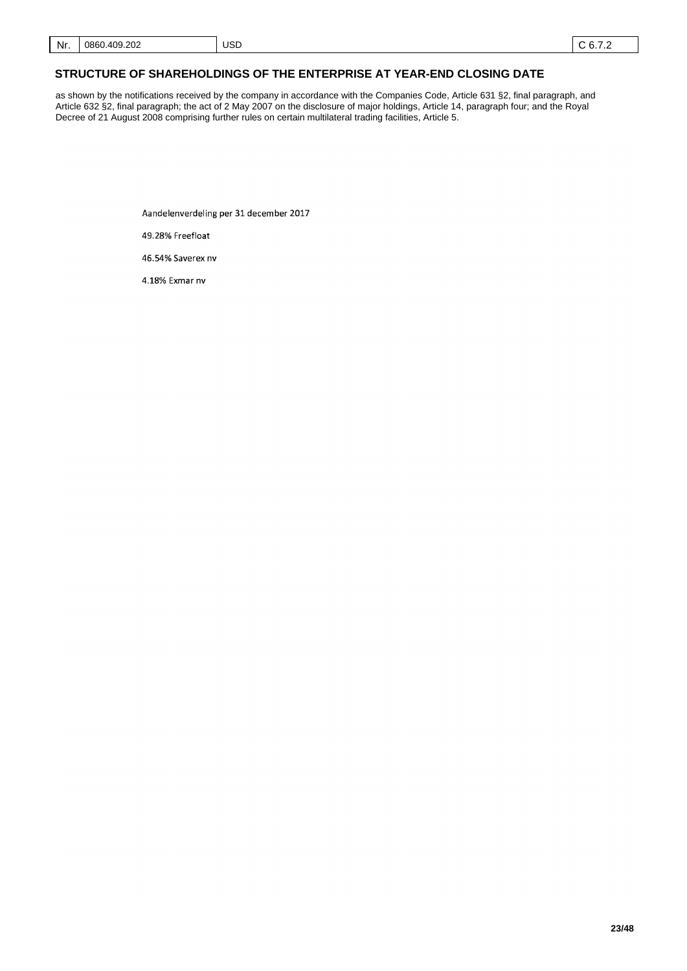#### **STRUCTURE OF SHAREHOLDINGS OF THE ENTERPRISE AT YEAR-END CLOSING DATE**

as shown by the notifications received by the company in accordance with the Companies Code, Article 631 §2, final paragraph, and Article 632 §2, final paragraph; the act of 2 May 2007 on the disclosure of major holdings, Article 14, paragraph four; and the Royal Decree of 21 August 2008 comprising further rules on certain multilateral trading facilities, Article 5.

Aandelenverdeling per 31 december 2017

USD

49.28% Freefloat

46.54% Saverex nv

4.18% Exmar nv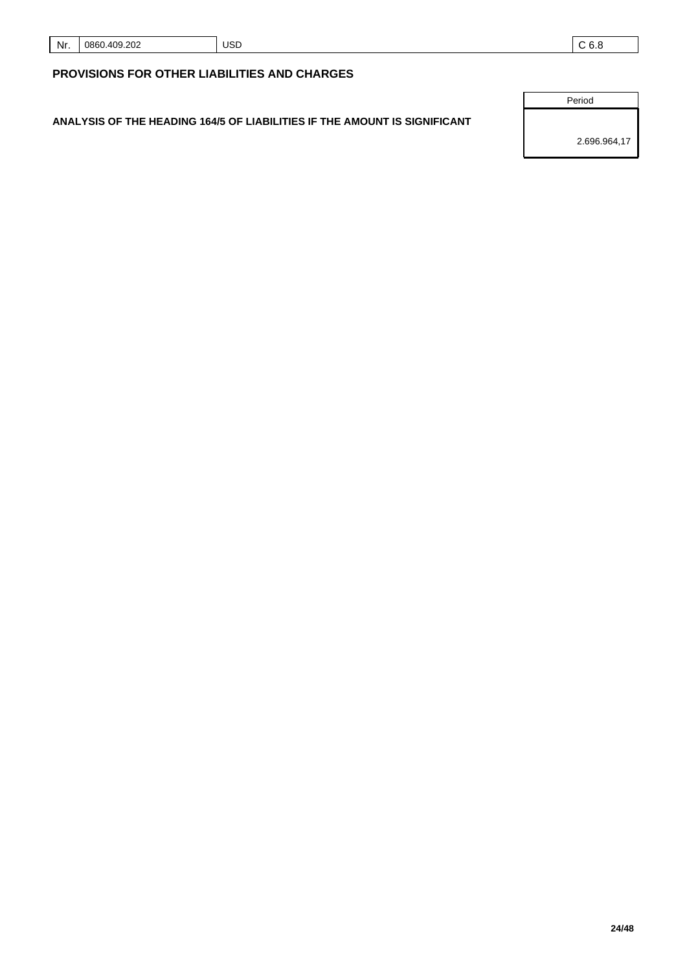| Nr. | ാറാ<br>⊿∩ດ<br>086.<br>ືບ∠ | <b>USD</b> | .<br>$-$ |
|-----|---------------------------|------------|----------|
|     |                           |            |          |

# **PROVISIONS FOR OTHER LIABILITIES AND CHARGES**

**ANALYSIS OF THE HEADING 164/5 OF LIABILITIES IF THE AMOUNT IS SIGNIFICANT**

Period

2.696.964,17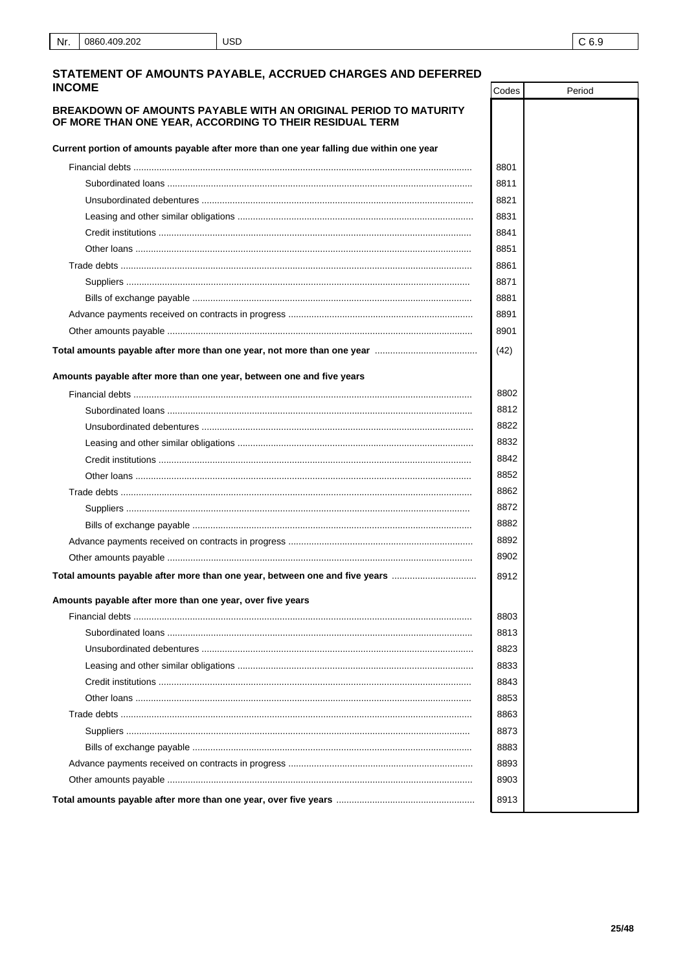# STATEMENT OF AMOUNTS PAYABLE, ACCRUED CHARGES AND DEFERRED

| <b>INCOME</b>                                                                                                               | Codes | Period |
|-----------------------------------------------------------------------------------------------------------------------------|-------|--------|
| BREAKDOWN OF AMOUNTS PAYABLE WITH AN ORIGINAL PERIOD TO MATURITY<br>OF MORE THAN ONE YEAR, ACCORDING TO THEIR RESIDUAL TERM |       |        |
| Current portion of amounts payable after more than one year falling due within one year                                     |       |        |
|                                                                                                                             | 8801  |        |
|                                                                                                                             | 8811  |        |
|                                                                                                                             | 8821  |        |
|                                                                                                                             | 8831  |        |
|                                                                                                                             | 8841  |        |
|                                                                                                                             | 8851  |        |
|                                                                                                                             | 8861  |        |
|                                                                                                                             | 8871  |        |
|                                                                                                                             | 8881  |        |
|                                                                                                                             | 8891  |        |
|                                                                                                                             | 8901  |        |
|                                                                                                                             | (42)  |        |
| Amounts payable after more than one year, between one and five years                                                        |       |        |
|                                                                                                                             | 8802  |        |
|                                                                                                                             | 8812  |        |
|                                                                                                                             | 8822  |        |
|                                                                                                                             | 8832  |        |
|                                                                                                                             | 8842  |        |
|                                                                                                                             | 8852  |        |
|                                                                                                                             | 8862  |        |
|                                                                                                                             | 8872  |        |
|                                                                                                                             | 8882  |        |
|                                                                                                                             | 8892  |        |
|                                                                                                                             | 8902  |        |
| Total amounts payable after more than one year, between one and five years                                                  | 8912  |        |
| Amounts payable after more than one year, over five years                                                                   |       |        |
|                                                                                                                             | 8803  |        |
|                                                                                                                             | 8813  |        |
|                                                                                                                             | 8823  |        |
|                                                                                                                             | 8833  |        |
|                                                                                                                             | 8843  |        |
|                                                                                                                             | 8853  |        |
|                                                                                                                             | 8863  |        |
|                                                                                                                             | 8873  |        |
|                                                                                                                             | 8883  |        |
|                                                                                                                             | 8893  |        |
|                                                                                                                             | 8903  |        |
|                                                                                                                             | 8913  |        |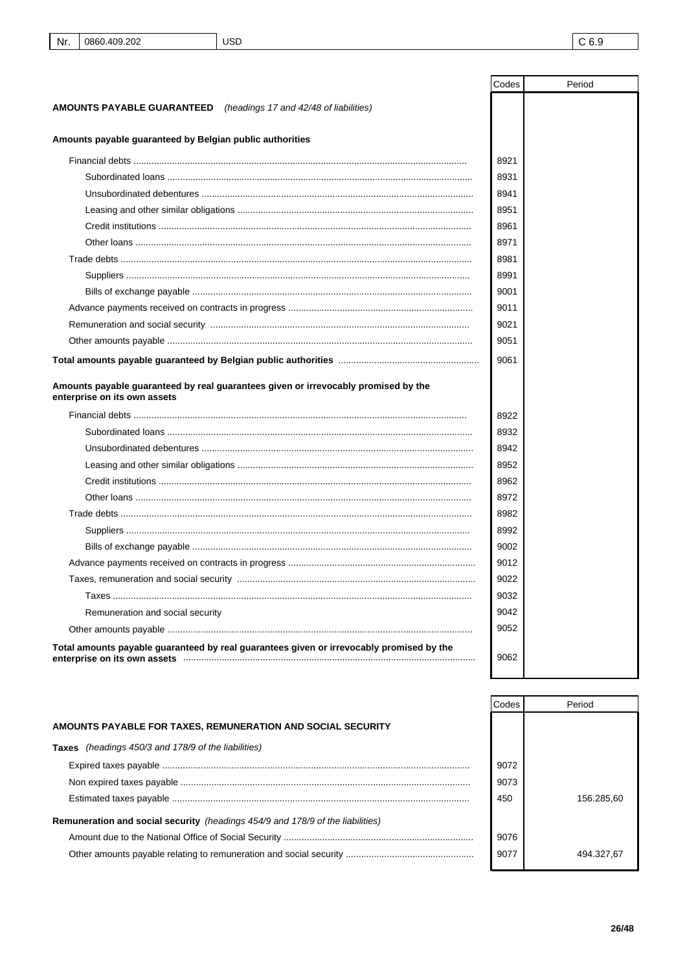|                                                                                                                                                               | Codes | Period |
|---------------------------------------------------------------------------------------------------------------------------------------------------------------|-------|--------|
| <b>AMOUNTS PAYABLE GUARANTEED</b><br>(headings 17 and 42/48 of liabilities)                                                                                   |       |        |
| Amounts payable guaranteed by Belgian public authorities                                                                                                      |       |        |
|                                                                                                                                                               | 8921  |        |
|                                                                                                                                                               | 8931  |        |
|                                                                                                                                                               | 8941  |        |
|                                                                                                                                                               | 8951  |        |
|                                                                                                                                                               | 8961  |        |
|                                                                                                                                                               | 8971  |        |
|                                                                                                                                                               | 8981  |        |
|                                                                                                                                                               | 8991  |        |
|                                                                                                                                                               | 9001  |        |
|                                                                                                                                                               | 9011  |        |
|                                                                                                                                                               | 9021  |        |
|                                                                                                                                                               | 9051  |        |
|                                                                                                                                                               | 9061  |        |
| Amounts payable guaranteed by real guarantees given or irrevocably promised by the<br>enterprise on its own assets                                            |       |        |
|                                                                                                                                                               | 8922  |        |
|                                                                                                                                                               | 8932  |        |
|                                                                                                                                                               | 8942  |        |
|                                                                                                                                                               | 8952  |        |
|                                                                                                                                                               | 8962  |        |
|                                                                                                                                                               | 8972  |        |
|                                                                                                                                                               | 8982  |        |
|                                                                                                                                                               | 8992  |        |
|                                                                                                                                                               | 9002  |        |
|                                                                                                                                                               | 9012  |        |
|                                                                                                                                                               | 9022  |        |
|                                                                                                                                                               | 9032  |        |
| Remuneration and social security                                                                                                                              | 9042  |        |
|                                                                                                                                                               | 9052  |        |
| Total amounts payable guaranteed by real guarantees given or irrevocably promised by the<br>enterprise on its own assets www.communication.communication.com/ | 9062  |        |

|                                                                                       | Codes | Period     |
|---------------------------------------------------------------------------------------|-------|------------|
| AMOUNTS PAYABLE FOR TAXES, REMUNERATION AND SOCIAL SECURITY                           |       |            |
| <b>Taxes</b> (headings 450/3 and 178/9 of the liabilities)                            |       |            |
|                                                                                       | 9072  |            |
|                                                                                       | 9073  |            |
|                                                                                       | 450   | 156.285.60 |
| <b>Remuneration and social security</b> (headings 454/9 and 178/9 of the liabilities) |       |            |
|                                                                                       | 9076  |            |
|                                                                                       | 9077  | 494.327.67 |
|                                                                                       |       |            |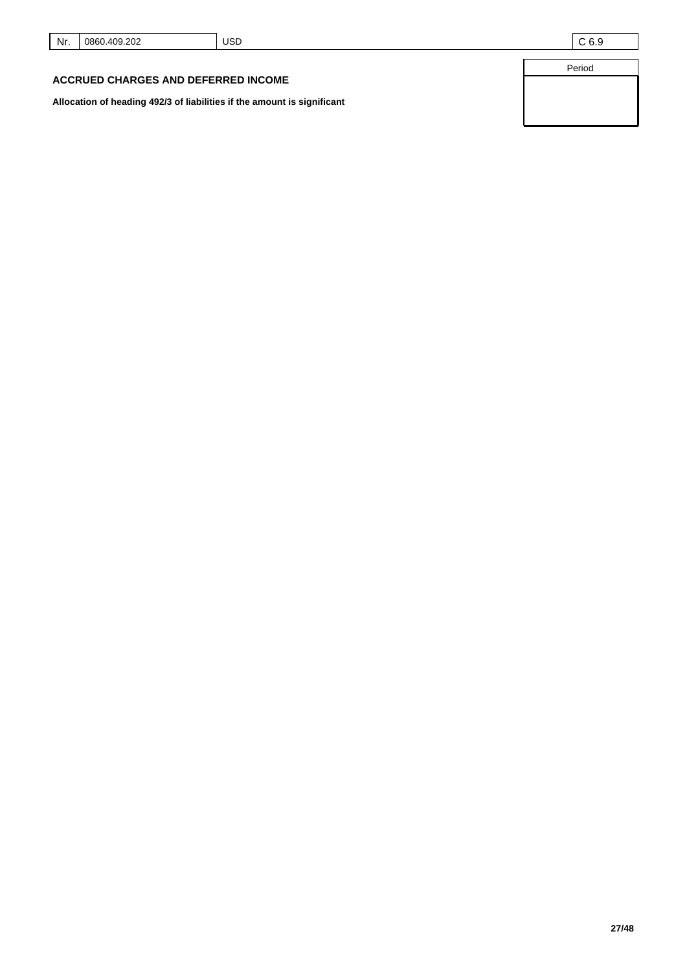|  | Nr. 0860.409.202 | <b>USD</b> | C 6.9 |
|--|------------------|------------|-------|
|--|------------------|------------|-------|

Period

#### **ACCRUED CHARGES AND DEFERRED INCOME**

**Allocation of heading 492/3 of liabilities if the amount is significant**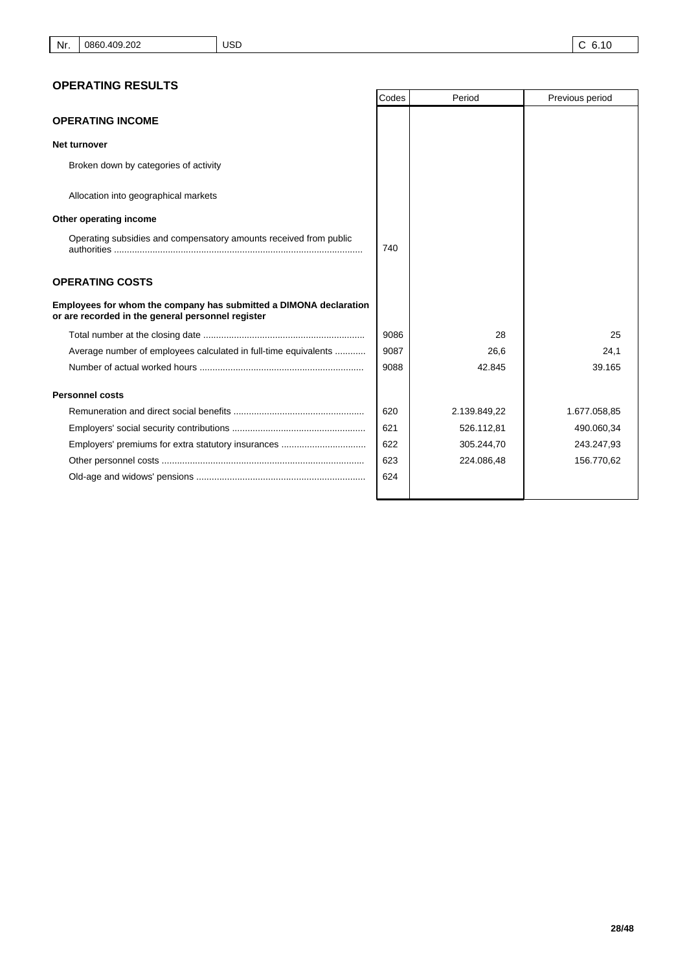# **OPERATING RESULTS**

|                                                                                                                        | Codes | Period       | Previous period |
|------------------------------------------------------------------------------------------------------------------------|-------|--------------|-----------------|
| <b>OPERATING INCOME</b>                                                                                                |       |              |                 |
| Net turnover                                                                                                           |       |              |                 |
| Broken down by categories of activity                                                                                  |       |              |                 |
| Allocation into geographical markets                                                                                   |       |              |                 |
| Other operating income                                                                                                 |       |              |                 |
| Operating subsidies and compensatory amounts received from public                                                      | 740   |              |                 |
| <b>OPERATING COSTS</b>                                                                                                 |       |              |                 |
| Employees for whom the company has submitted a DIMONA declaration<br>or are recorded in the general personnel register |       |              |                 |
|                                                                                                                        | 9086  | 28           | 25              |
| Average number of employees calculated in full-time equivalents                                                        | 9087  | 26,6         | 24,1            |
|                                                                                                                        | 9088  | 42.845       | 39.165          |
| <b>Personnel costs</b>                                                                                                 |       |              |                 |
|                                                                                                                        | 620   | 2.139.849,22 | 1.677.058,85    |
|                                                                                                                        | 621   | 526.112,81   | 490.060,34      |
|                                                                                                                        | 622   | 305.244,70   | 243.247,93      |
|                                                                                                                        | 623   | 224.086,48   | 156.770,62      |
|                                                                                                                        | 624   |              |                 |
|                                                                                                                        |       |              |                 |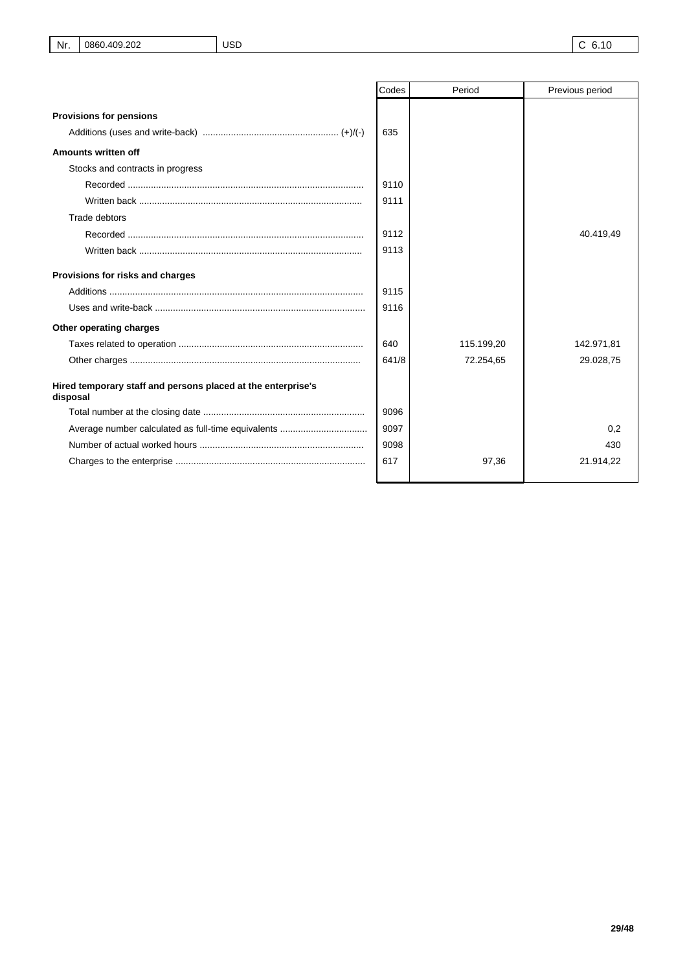|                                                                          | Codes | Period     | Previous period |
|--------------------------------------------------------------------------|-------|------------|-----------------|
| <b>Provisions for pensions</b>                                           |       |            |                 |
|                                                                          | 635   |            |                 |
| Amounts written off                                                      |       |            |                 |
| Stocks and contracts in progress                                         |       |            |                 |
|                                                                          | 9110  |            |                 |
|                                                                          | 9111  |            |                 |
| <b>Trade debtors</b>                                                     |       |            |                 |
|                                                                          | 9112  |            | 40.419,49       |
|                                                                          | 9113  |            |                 |
| Provisions for risks and charges                                         |       |            |                 |
|                                                                          | 9115  |            |                 |
|                                                                          | 9116  |            |                 |
| Other operating charges                                                  |       |            |                 |
|                                                                          | 640   | 115.199,20 | 142.971,81      |
|                                                                          | 641/8 | 72.254,65  | 29.028,75       |
| Hired temporary staff and persons placed at the enterprise's<br>disposal |       |            |                 |
|                                                                          | 9096  |            |                 |
|                                                                          | 9097  |            | 0.2             |
|                                                                          | 9098  |            | 430             |
|                                                                          | 617   | 97,36      | 21.914,22       |
|                                                                          |       |            |                 |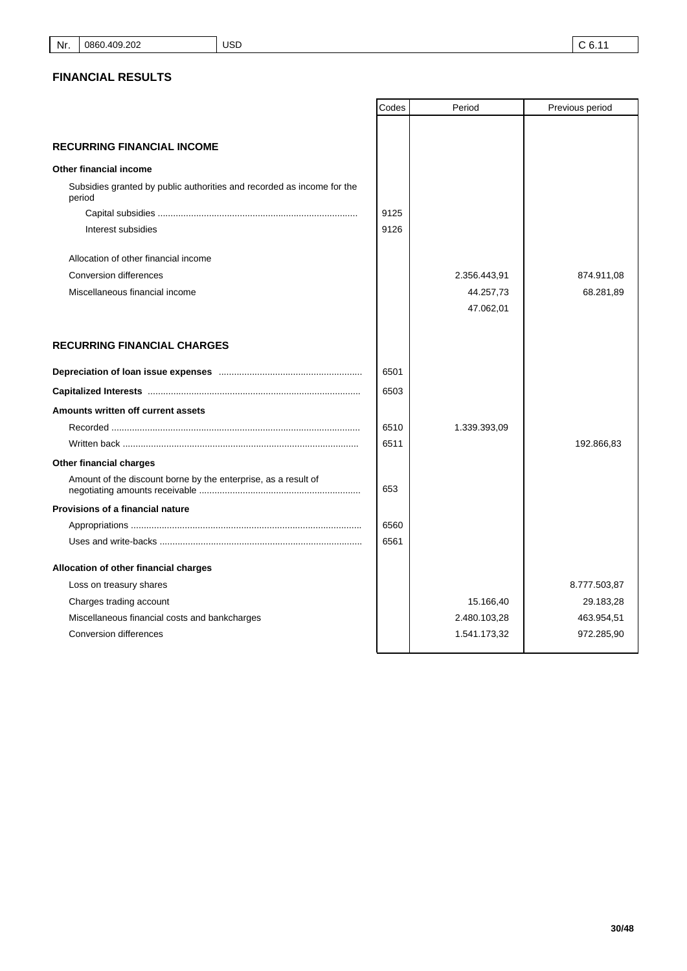|                                                                                  | Codes | Period       | Previous period |
|----------------------------------------------------------------------------------|-------|--------------|-----------------|
|                                                                                  |       |              |                 |
| <b>RECURRING FINANCIAL INCOME</b>                                                |       |              |                 |
| Other financial income                                                           |       |              |                 |
| Subsidies granted by public authorities and recorded as income for the<br>period |       |              |                 |
|                                                                                  | 9125  |              |                 |
| Interest subsidies                                                               | 9126  |              |                 |
| Allocation of other financial income                                             |       |              |                 |
| Conversion differences                                                           |       | 2.356.443,91 | 874.911,08      |
| Miscellaneous financial income                                                   |       | 44.257,73    | 68.281,89       |
|                                                                                  |       | 47.062,01    |                 |
| <b>RECURRING FINANCIAL CHARGES</b>                                               |       |              |                 |
|                                                                                  | 6501  |              |                 |
|                                                                                  | 6503  |              |                 |
| Amounts written off current assets                                               |       |              |                 |
|                                                                                  | 6510  | 1.339.393,09 |                 |
|                                                                                  | 6511  |              | 192.866,83      |
| Other financial charges                                                          |       |              |                 |
| Amount of the discount borne by the enterprise, as a result of                   | 653   |              |                 |
| <b>Provisions of a financial nature</b>                                          |       |              |                 |
|                                                                                  | 6560  |              |                 |
|                                                                                  | 6561  |              |                 |
| Allocation of other financial charges                                            |       |              |                 |
| Loss on treasury shares                                                          |       |              | 8.777.503,87    |
| Charges trading account                                                          |       | 15.166,40    | 29.183,28       |
| Miscellaneous financial costs and bankcharges                                    |       | 2.480.103,28 | 463.954,51      |
| <b>Conversion differences</b>                                                    |       | 1.541.173,32 | 972.285,90      |
|                                                                                  |       |              |                 |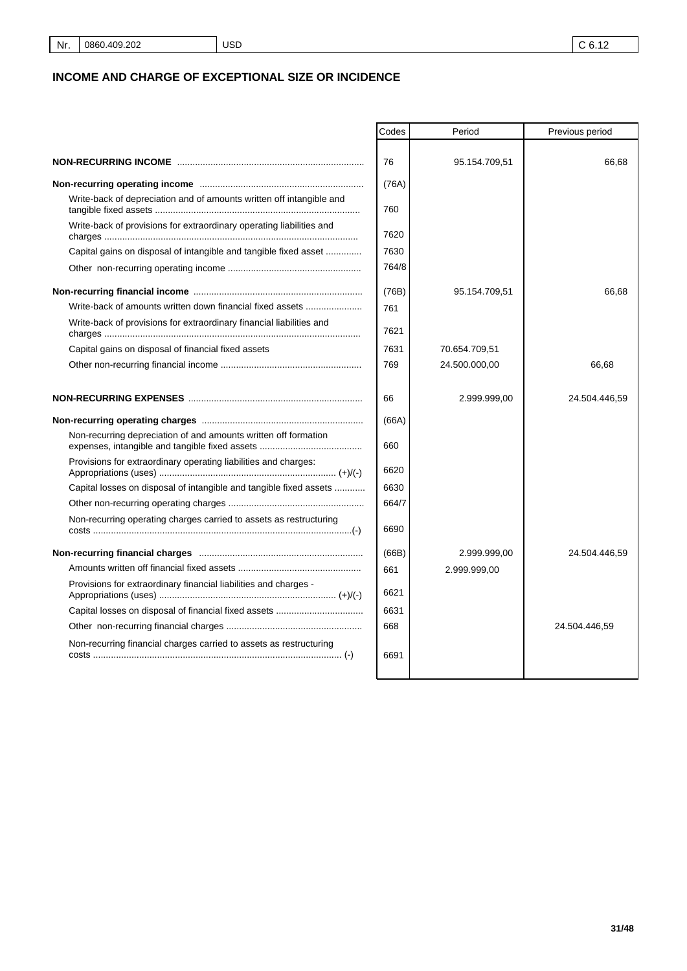# **INCOME AND CHARGE OF EXCEPTIONAL SIZE OR INCIDENCE**

| 76<br>95.154.709,51<br>66,68<br>(76A)<br>Write-back of depreciation and of amounts written off intangible and<br>760<br>Write-back of provisions for extraordinary operating liabilities and<br>7620<br>7630<br>Capital gains on disposal of intangible and tangible fixed asset<br>764/8<br>(76B)<br>95.154.709,51<br>66,68<br>Write-back of amounts written down financial fixed assets<br>761<br>Write-back of provisions for extraordinary financial liabilities and<br>7621<br>7631<br>Capital gains on disposal of financial fixed assets<br>70.654.709,51<br>769<br>24.500.000,00<br>66,68<br>66<br>2.999.999,00<br>24.504.446,59<br>(66A)<br>Non-recurring depreciation of and amounts written off formation<br>660<br>Provisions for extraordinary operating liabilities and charges:<br>6620<br>Capital losses on disposal of intangible and tangible fixed assets<br>6630<br>664/7<br>Non-recurring operating charges carried to assets as restructuring<br>6690<br>(66B)<br>2.999.999.00<br>24.504.446,59<br>661<br>2.999.999,00<br>Provisions for extraordinary financial liabilities and charges -<br>6621<br>6631<br>668<br>24.504.446,59<br>Non-recurring financial charges carried to assets as restructuring<br>6691 | Codes | Period | Previous period |
|----------------------------------------------------------------------------------------------------------------------------------------------------------------------------------------------------------------------------------------------------------------------------------------------------------------------------------------------------------------------------------------------------------------------------------------------------------------------------------------------------------------------------------------------------------------------------------------------------------------------------------------------------------------------------------------------------------------------------------------------------------------------------------------------------------------------------------------------------------------------------------------------------------------------------------------------------------------------------------------------------------------------------------------------------------------------------------------------------------------------------------------------------------------------------------------------------------------------------------------|-------|--------|-----------------|
|                                                                                                                                                                                                                                                                                                                                                                                                                                                                                                                                                                                                                                                                                                                                                                                                                                                                                                                                                                                                                                                                                                                                                                                                                                        |       |        |                 |
|                                                                                                                                                                                                                                                                                                                                                                                                                                                                                                                                                                                                                                                                                                                                                                                                                                                                                                                                                                                                                                                                                                                                                                                                                                        |       |        |                 |
|                                                                                                                                                                                                                                                                                                                                                                                                                                                                                                                                                                                                                                                                                                                                                                                                                                                                                                                                                                                                                                                                                                                                                                                                                                        |       |        |                 |
|                                                                                                                                                                                                                                                                                                                                                                                                                                                                                                                                                                                                                                                                                                                                                                                                                                                                                                                                                                                                                                                                                                                                                                                                                                        |       |        |                 |
|                                                                                                                                                                                                                                                                                                                                                                                                                                                                                                                                                                                                                                                                                                                                                                                                                                                                                                                                                                                                                                                                                                                                                                                                                                        |       |        |                 |
|                                                                                                                                                                                                                                                                                                                                                                                                                                                                                                                                                                                                                                                                                                                                                                                                                                                                                                                                                                                                                                                                                                                                                                                                                                        |       |        |                 |
|                                                                                                                                                                                                                                                                                                                                                                                                                                                                                                                                                                                                                                                                                                                                                                                                                                                                                                                                                                                                                                                                                                                                                                                                                                        |       |        |                 |
|                                                                                                                                                                                                                                                                                                                                                                                                                                                                                                                                                                                                                                                                                                                                                                                                                                                                                                                                                                                                                                                                                                                                                                                                                                        |       |        |                 |
|                                                                                                                                                                                                                                                                                                                                                                                                                                                                                                                                                                                                                                                                                                                                                                                                                                                                                                                                                                                                                                                                                                                                                                                                                                        |       |        |                 |
|                                                                                                                                                                                                                                                                                                                                                                                                                                                                                                                                                                                                                                                                                                                                                                                                                                                                                                                                                                                                                                                                                                                                                                                                                                        |       |        |                 |
|                                                                                                                                                                                                                                                                                                                                                                                                                                                                                                                                                                                                                                                                                                                                                                                                                                                                                                                                                                                                                                                                                                                                                                                                                                        |       |        |                 |
|                                                                                                                                                                                                                                                                                                                                                                                                                                                                                                                                                                                                                                                                                                                                                                                                                                                                                                                                                                                                                                                                                                                                                                                                                                        |       |        |                 |
|                                                                                                                                                                                                                                                                                                                                                                                                                                                                                                                                                                                                                                                                                                                                                                                                                                                                                                                                                                                                                                                                                                                                                                                                                                        |       |        |                 |
|                                                                                                                                                                                                                                                                                                                                                                                                                                                                                                                                                                                                                                                                                                                                                                                                                                                                                                                                                                                                                                                                                                                                                                                                                                        |       |        |                 |
|                                                                                                                                                                                                                                                                                                                                                                                                                                                                                                                                                                                                                                                                                                                                                                                                                                                                                                                                                                                                                                                                                                                                                                                                                                        |       |        |                 |
|                                                                                                                                                                                                                                                                                                                                                                                                                                                                                                                                                                                                                                                                                                                                                                                                                                                                                                                                                                                                                                                                                                                                                                                                                                        |       |        |                 |
|                                                                                                                                                                                                                                                                                                                                                                                                                                                                                                                                                                                                                                                                                                                                                                                                                                                                                                                                                                                                                                                                                                                                                                                                                                        |       |        |                 |
|                                                                                                                                                                                                                                                                                                                                                                                                                                                                                                                                                                                                                                                                                                                                                                                                                                                                                                                                                                                                                                                                                                                                                                                                                                        |       |        |                 |
|                                                                                                                                                                                                                                                                                                                                                                                                                                                                                                                                                                                                                                                                                                                                                                                                                                                                                                                                                                                                                                                                                                                                                                                                                                        |       |        |                 |
|                                                                                                                                                                                                                                                                                                                                                                                                                                                                                                                                                                                                                                                                                                                                                                                                                                                                                                                                                                                                                                                                                                                                                                                                                                        |       |        |                 |
|                                                                                                                                                                                                                                                                                                                                                                                                                                                                                                                                                                                                                                                                                                                                                                                                                                                                                                                                                                                                                                                                                                                                                                                                                                        |       |        |                 |
|                                                                                                                                                                                                                                                                                                                                                                                                                                                                                                                                                                                                                                                                                                                                                                                                                                                                                                                                                                                                                                                                                                                                                                                                                                        |       |        |                 |
|                                                                                                                                                                                                                                                                                                                                                                                                                                                                                                                                                                                                                                                                                                                                                                                                                                                                                                                                                                                                                                                                                                                                                                                                                                        |       |        |                 |
|                                                                                                                                                                                                                                                                                                                                                                                                                                                                                                                                                                                                                                                                                                                                                                                                                                                                                                                                                                                                                                                                                                                                                                                                                                        |       |        |                 |
|                                                                                                                                                                                                                                                                                                                                                                                                                                                                                                                                                                                                                                                                                                                                                                                                                                                                                                                                                                                                                                                                                                                                                                                                                                        |       |        |                 |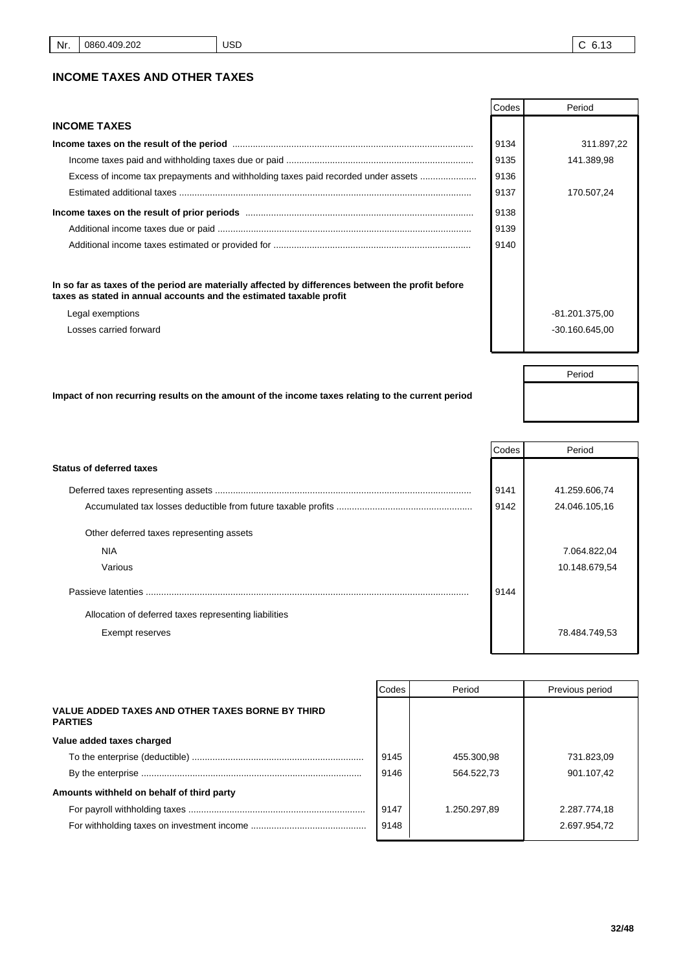Period

### **INCOME TAXES AND OTHER TAXES**

|                                                                                                   | Codes | Period           |
|---------------------------------------------------------------------------------------------------|-------|------------------|
| <b>INCOME TAXES</b>                                                                               |       |                  |
|                                                                                                   | 9134  | 311.897,22       |
|                                                                                                   | 9135  | 141.389,98       |
| Excess of income tax prepayments and withholding taxes paid recorded under assets                 | 9136  |                  |
|                                                                                                   | 9137  | 170.507,24       |
|                                                                                                   | 9138  |                  |
|                                                                                                   | 9139  |                  |
|                                                                                                   | 9140  |                  |
| In so far as taxes of the period are materially affected by differences between the profit before |       |                  |
| taxes as stated in annual accounts and the estimated taxable profit                               |       |                  |
| Legal exemptions                                                                                  |       | -81.201.375,00   |
| Losses carried forward                                                                            |       | $-30.160.645.00$ |
|                                                                                                   |       |                  |
|                                                                                                   |       |                  |

**Impact of non recurring results on the amount of the income taxes relating to the current period**

|                                                       | Codes | Period        |
|-------------------------------------------------------|-------|---------------|
| <b>Status of deferred taxes</b>                       |       |               |
|                                                       | 9141  | 41.259.606,74 |
|                                                       | 9142  | 24.046.105,16 |
| Other deferred taxes representing assets              |       |               |
| <b>NIA</b>                                            |       | 7.064.822,04  |
| Various                                               |       | 10.148.679,54 |
| Passieve latenties                                    | 9144  |               |
| Allocation of deferred taxes representing liabilities |       |               |
| Exempt reserves                                       |       | 78.484.749,53 |

|                                                                    | Codes | Period       | Previous period |
|--------------------------------------------------------------------|-------|--------------|-----------------|
| VALUE ADDED TAXES AND OTHER TAXES BORNE BY THIRD<br><b>PARTIES</b> |       |              |                 |
| Value added taxes charged                                          |       |              |                 |
|                                                                    | 9145  | 455.300.98   | 731.823.09      |
|                                                                    | 9146  | 564.522.73   | 901.107.42      |
| Amounts withheld on behalf of third party                          |       |              |                 |
|                                                                    | 9147  | 1.250.297.89 | 2.287.774.18    |
|                                                                    | 9148  |              | 2.697.954,72    |
|                                                                    |       |              |                 |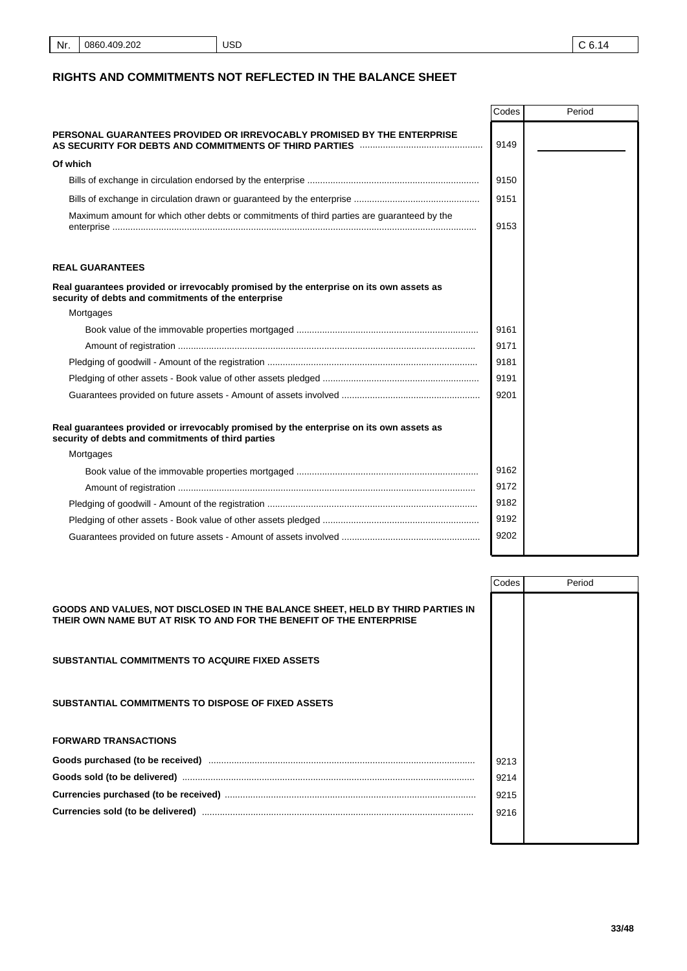# **RIGHTS AND COMMITMENTS NOT REFLECTED IN THE BALANCE SHEET**

|                                                                                                                                                | Codes | Period |
|------------------------------------------------------------------------------------------------------------------------------------------------|-------|--------|
| PERSONAL GUARANTEES PROVIDED OR IRREVOCABLY PROMISED BY THE ENTERPRISE                                                                         | 9149  |        |
| Of which                                                                                                                                       |       |        |
|                                                                                                                                                | 9150  |        |
|                                                                                                                                                | 9151  |        |
| Maximum amount for which other debts or commitments of third parties are guaranteed by the                                                     | 9153  |        |
| <b>REAL GUARANTEES</b>                                                                                                                         |       |        |
| Real guarantees provided or irrevocably promised by the enterprise on its own assets as<br>security of debts and commitments of the enterprise |       |        |
| Mortgages                                                                                                                                      |       |        |
|                                                                                                                                                | 9161  |        |
|                                                                                                                                                | 9171  |        |
|                                                                                                                                                | 9181  |        |
|                                                                                                                                                | 9191  |        |
|                                                                                                                                                | 9201  |        |
| Real guarantees provided or irrevocably promised by the enterprise on its own assets as<br>security of debts and commitments of third parties  |       |        |
| Mortgages                                                                                                                                      |       |        |
|                                                                                                                                                | 9162  |        |
|                                                                                                                                                | 9172  |        |
|                                                                                                                                                | 9182  |        |
|                                                                                                                                                | 9192  |        |
|                                                                                                                                                | 9202  |        |

|                                                                                                                                                       | Codes | Period |
|-------------------------------------------------------------------------------------------------------------------------------------------------------|-------|--------|
| GOODS AND VALUES, NOT DISCLOSED IN THE BALANCE SHEET, HELD BY THIRD PARTIES IN<br>THEIR OWN NAME BUT AT RISK TO AND FOR THE BENEFIT OF THE ENTERPRISE |       |        |
| <b>SUBSTANTIAL COMMITMENTS TO ACQUIRE FIXED ASSETS</b>                                                                                                |       |        |
| SUBSTANTIAL COMMITMENTS TO DISPOSE OF FIXED ASSETS                                                                                                    |       |        |
| <b>FORWARD TRANSACTIONS</b>                                                                                                                           |       |        |
|                                                                                                                                                       | 9213  |        |
|                                                                                                                                                       | 9214  |        |
|                                                                                                                                                       | 9215  |        |
|                                                                                                                                                       | 9216  |        |
|                                                                                                                                                       |       |        |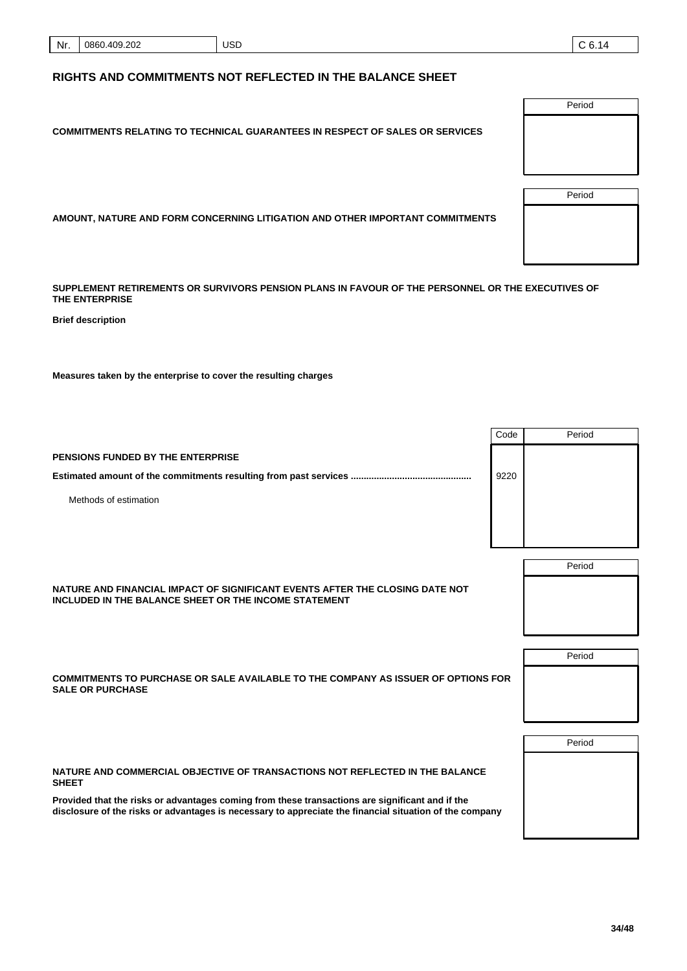| Nr. | 0860.409.202 | <b>USD</b><br>___ | <b>Let</b> |
|-----|--------------|-------------------|------------|
|-----|--------------|-------------------|------------|

# **RIGHTS AND COMMITMENTS NOT REFLECTED IN THE BALANCE SHEET**

**COMMITMENTS RELATING TO TECHNICAL GUARANTEES IN RESPECT OF SALES OR SERVICES**

**AMOUNT, NATURE AND FORM CONCERNING LITIGATION AND OTHER IMPORTANT COMMITMENTS**

**SUPPLEMENT RETIREMENTS OR SURVIVORS PENSION PLANS IN FAVOUR OF THE PERSONNEL OR THE EXECUTIVES OF THE ENTERPRISE**

**Brief description**

**Measures taken by the enterprise to cover the resulting charges**

**PENSIONS FUNDED BY THE ENTERPRISE**

Methods of estimation

| NATURE AND FINANCIAL IMPACT OF SIGNIFICANT EVENTS AFTER THE CLOSING DATE NOT<br>INCLUDED IN THE BALANCE SHEET OR THE INCOME STATEMENT | Period |
|---------------------------------------------------------------------------------------------------------------------------------------|--------|
| COMMITMENTS TO PURCHASE OR SALE AVAILABLE TO THE COMPANY AS ISSUER OF OPTIONS FOR<br><b>SALE OR PURCHASE</b>                          | Period |
| NATURE AND COMMERCIAL OBJECTIVE OF TRANSACTIONS NOT REFLECTED IN THE BALANCE<br><b>SHEET</b>                                          | Period |

**Provided that the risks or advantages coming from these transactions are significant and if the disclosure of the risks or advantages is necessary to appreciate the financial situation of the company**

Period Period



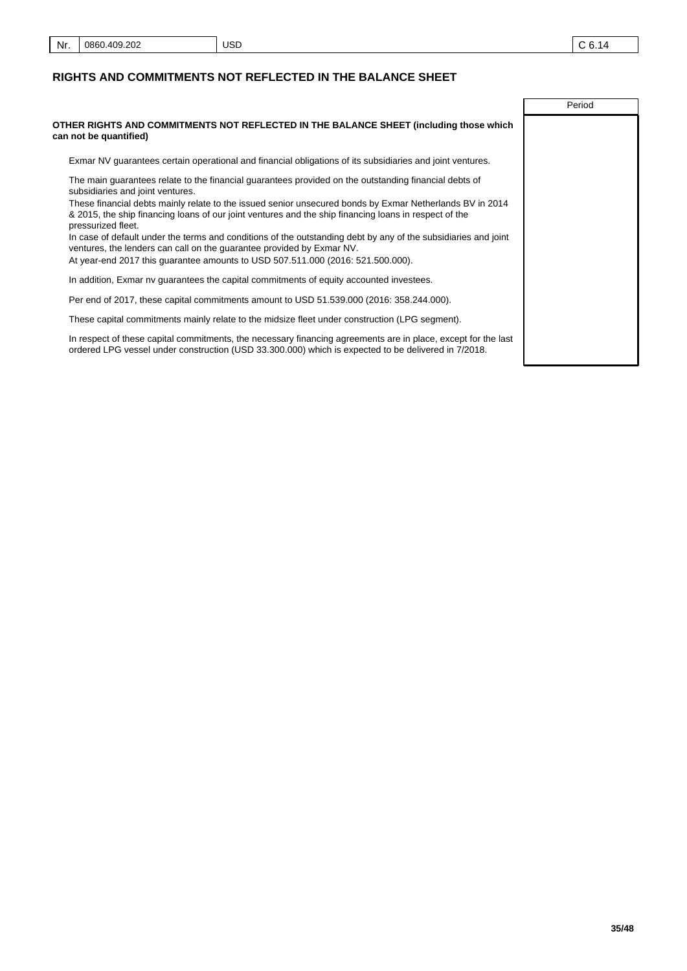Period

#### **RIGHTS AND COMMITMENTS NOT REFLECTED IN THE BALANCE SHEET**

**OTHER RIGHTS AND COMMITMENTS NOT REFLECTED IN THE BALANCE SHEET (including those which can not be quantified)**

Exmar NV guarantees certain operational and financial obligations of its subsidiaries and joint ventures.

The main guarantees relate to the financial guarantees provided on the outstanding financial debts of subsidiaries and joint ventures.

These financial debts mainly relate to the issued senior unsecured bonds by Exmar Netherlands BV in 2014 & 2015, the ship financing loans of our joint ventures and the ship financing loans in respect of the pressurized fleet.

In case of default under the terms and conditions of the outstanding debt by any of the subsidiaries and joint ventures, the lenders can call on the guarantee provided by Exmar NV.

At year-end 2017 this guarantee amounts to USD 507.511.000 (2016: 521.500.000).

In addition, Exmar nv guarantees the capital commitments of equity accounted investees.

Per end of 2017, these capital commitments amount to USD 51.539.000 (2016: 358.244.000).

These capital commitments mainly relate to the midsize fleet under construction (LPG segment).

In respect of these capital commitments, the necessary financing agreements are in place, except for the last ordered LPG vessel under construction (USD 33.300.000) which is expected to be delivered in 7/2018.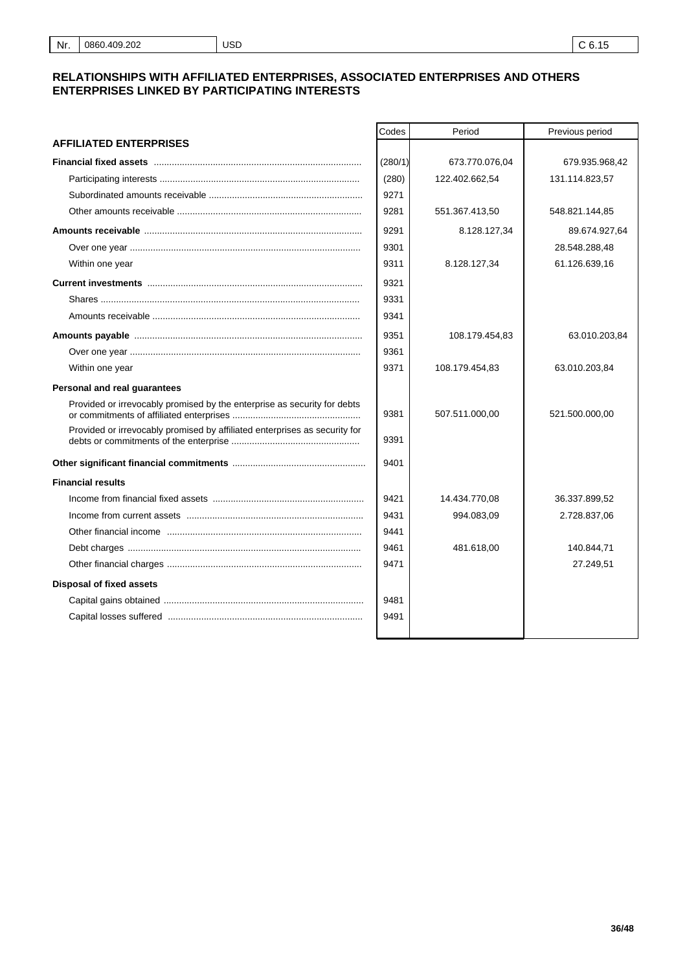#### **RELATIONSHIPS WITH AFFILIATED ENTERPRISES, ASSOCIATED ENTERPRISES AND OTHERS ENTERPRISES LINKED BY PARTICIPATING INTERESTS**

USD

|                                                                            | Codes   | Period         | Previous period |
|----------------------------------------------------------------------------|---------|----------------|-----------------|
| <b>AFFILIATED ENTERPRISES</b>                                              |         |                |                 |
|                                                                            | (280/1) | 673.770.076,04 | 679.935.968,42  |
|                                                                            | (280)   | 122.402.662,54 | 131.114.823,57  |
|                                                                            | 9271    |                |                 |
|                                                                            | 9281    | 551.367.413,50 | 548.821.144,85  |
|                                                                            | 9291    | 8.128.127,34   | 89.674.927,64   |
|                                                                            | 9301    |                | 28.548.288,48   |
| Within one year                                                            | 9311    | 8.128.127,34   | 61.126.639,16   |
|                                                                            | 9321    |                |                 |
|                                                                            | 9331    |                |                 |
|                                                                            | 9341    |                |                 |
|                                                                            | 9351    | 108.179.454,83 | 63.010.203,84   |
|                                                                            | 9361    |                |                 |
| Within one year                                                            | 9371    | 108.179.454,83 | 63.010.203,84   |
| Personal and real guarantees                                               |         |                |                 |
| Provided or irrevocably promised by the enterprise as security for debts   | 9381    | 507.511.000,00 | 521.500.000,00  |
| Provided or irrevocably promised by affiliated enterprises as security for | 9391    |                |                 |
|                                                                            | 9401    |                |                 |
| <b>Financial results</b>                                                   |         |                |                 |
|                                                                            | 9421    | 14.434.770,08  | 36.337.899,52   |
|                                                                            | 9431    | 994.083,09     | 2.728.837,06    |
|                                                                            | 9441    |                |                 |
|                                                                            | 9461    | 481.618,00     | 140.844,71      |
|                                                                            | 9471    |                | 27.249,51       |
| <b>Disposal of fixed assets</b>                                            |         |                |                 |
|                                                                            | 9481    |                |                 |
|                                                                            | 9491    |                |                 |
|                                                                            |         |                |                 |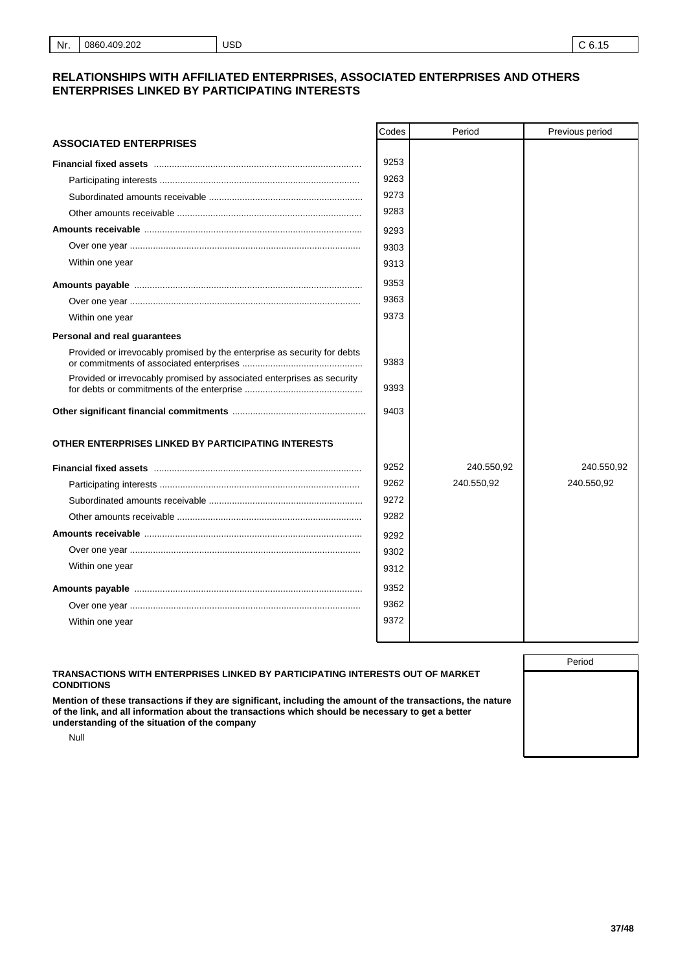#### **RELATIONSHIPS WITH AFFILIATED ENTERPRISES, ASSOCIATED ENTERPRISES AND OTHERS ENTERPRISES LINKED BY PARTICIPATING INTERESTS**

|                                                                          | Codes | Period     | Previous period |
|--------------------------------------------------------------------------|-------|------------|-----------------|
| <b>ASSOCIATED ENTERPRISES</b>                                            |       |            |                 |
|                                                                          | 9253  |            |                 |
|                                                                          | 9263  |            |                 |
|                                                                          | 9273  |            |                 |
|                                                                          | 9283  |            |                 |
|                                                                          | 9293  |            |                 |
|                                                                          | 9303  |            |                 |
| Within one year                                                          | 9313  |            |                 |
|                                                                          | 9353  |            |                 |
|                                                                          | 9363  |            |                 |
| Within one year                                                          | 9373  |            |                 |
| Personal and real guarantees                                             |       |            |                 |
| Provided or irrevocably promised by the enterprise as security for debts | 9383  |            |                 |
| Provided or irrevocably promised by associated enterprises as security   | 9393  |            |                 |
|                                                                          | 9403  |            |                 |
| OTHER ENTERPRISES LINKED BY PARTICIPATING INTERESTS                      |       |            |                 |
|                                                                          | 9252  | 240.550,92 | 240.550,92      |
|                                                                          | 9262  | 240.550,92 | 240.550,92      |
|                                                                          | 9272  |            |                 |
|                                                                          | 9282  |            |                 |
|                                                                          | 9292  |            |                 |
|                                                                          | 9302  |            |                 |
| Within one year                                                          | 9312  |            |                 |
|                                                                          | 9352  |            |                 |
|                                                                          | 9362  |            |                 |
| Within one year                                                          | 9372  |            |                 |
|                                                                          |       |            |                 |

#### **TRANSACTIONS WITH ENTERPRISES LINKED BY PARTICIPATING INTERESTS OUT OF MARKET CONDITIONS**

Null

**Mention of these transactions if they are significant, including the amount of the transactions, the nature of the link, and all information about the transactions which should be necessary to get a better understanding of the situation of the company**

Period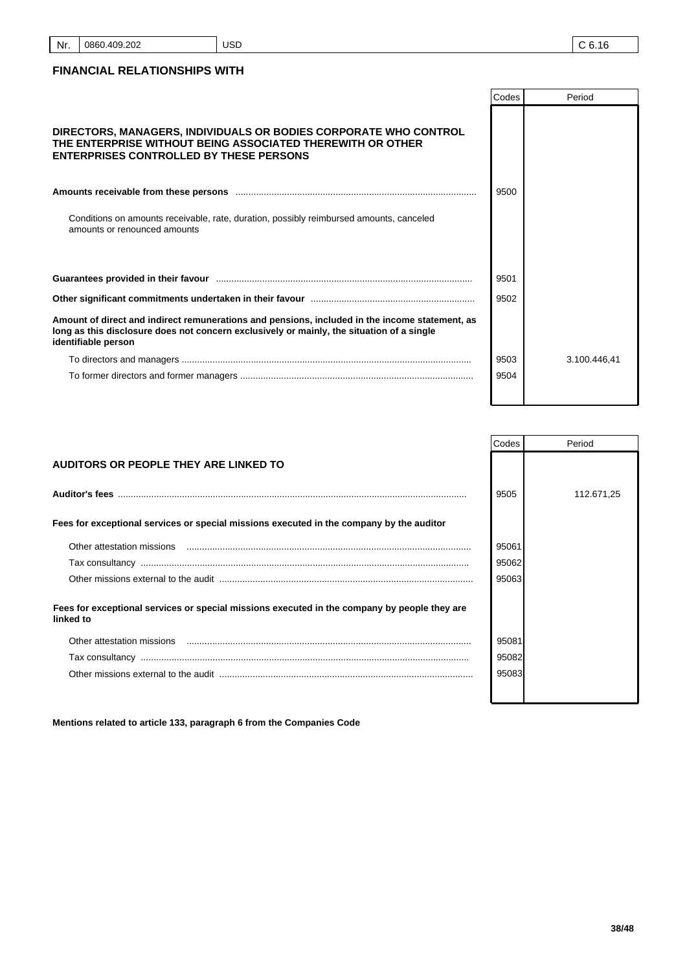# USD

# **FINANCIAL RELATIONSHIPS WITH**

|                                                                                                                                                                                                                               | Codes | Period       |
|-------------------------------------------------------------------------------------------------------------------------------------------------------------------------------------------------------------------------------|-------|--------------|
| DIRECTORS, MANAGERS, INDIVIDUALS OR BODIES CORPORATE WHO CONTROL<br>THE ENTERPRISE WITHOUT BEING ASSOCIATED THEREWITH OR OTHER<br><b>ENTERPRISES CONTROLLED BY THESE PERSONS</b>                                              |       |              |
|                                                                                                                                                                                                                               | 9500  |              |
| Conditions on amounts receivable, rate, duration, possibly reimbursed amounts, canceled<br>amounts or renounced amounts                                                                                                       |       |              |
| Guarantees provided in their favour manufactured and all the control of the control of the control of the control of the control of the control of the control of the control of the control of the control of the control of | 9501  |              |
|                                                                                                                                                                                                                               | 9502  |              |
| Amount of direct and indirect remunerations and pensions, included in the income statement, as<br>long as this disclosure does not concern exclusively or mainly, the situation of a single<br>identifiable person            |       |              |
|                                                                                                                                                                                                                               | 9503  | 3.100.446.41 |
|                                                                                                                                                                                                                               | 9504  |              |
|                                                                                                                                                                                                                               |       |              |

|                                                                                                           | Codes | Period     |
|-----------------------------------------------------------------------------------------------------------|-------|------------|
| AUDITORS OR PEOPLE THEY ARE LINKED TO                                                                     |       |            |
|                                                                                                           | 9505  | 112.671,25 |
| Fees for exceptional services or special missions executed in the company by the auditor                  |       |            |
| Other attestation missions                                                                                | 95061 |            |
|                                                                                                           | 95062 |            |
|                                                                                                           | 95063 |            |
| Fees for exceptional services or special missions executed in the company by people they are<br>linked to |       |            |
| Other attestation missions                                                                                | 95081 |            |
|                                                                                                           | 95082 |            |
|                                                                                                           | 95083 |            |
|                                                                                                           |       |            |

**Mentions related to article 133, paragraph 6 from the Companies Code**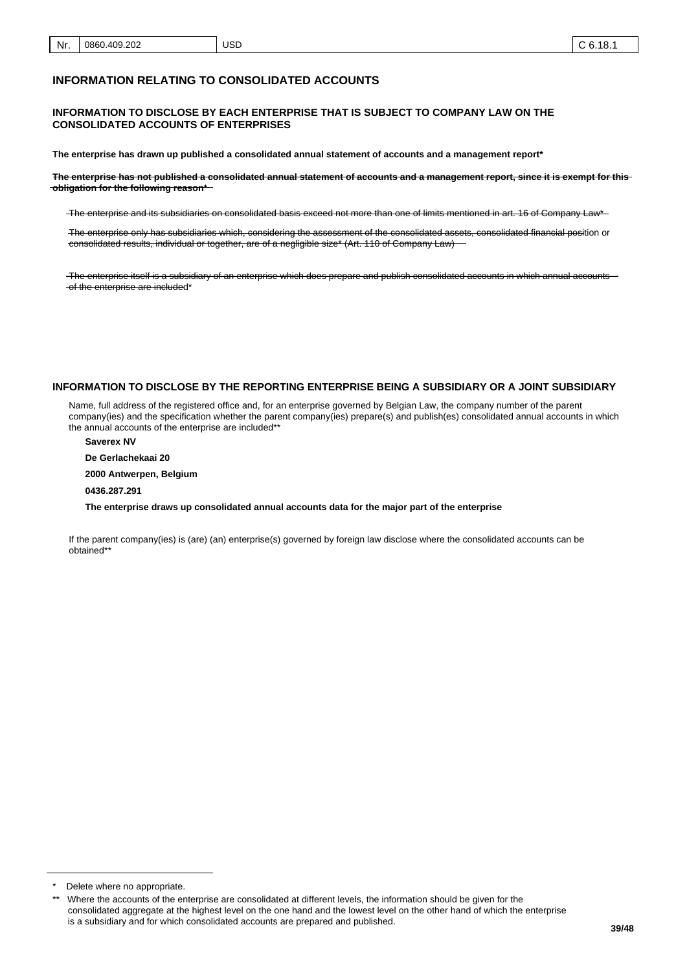#### **INFORMATION RELATING TO CONSOLIDATED ACCOUNTS**

#### **INFORMATION TO DISCLOSE BY EACH ENTERPRISE THAT IS SUBJECT TO COMPANY LAW ON THE CONSOLIDATED ACCOUNTS OF ENTERPRISES**

**The enterprise has drawn up published a consolidated annual statement of accounts and a management report\***

**The enterprise has not published a consolidated annual statement of accounts and a management report, since it is exempt for this obligation for the following reason\***

The enterprise and its subsidiaries on consolidated basis exceed not more than one of limits mentioned in art. 16 of Company Law\*

The enterprise only has subsidiaries which, considering the assessment of the consolidated assets, consolidated financial position or consolidated results, individual or together, are of a negligible size\* (Art. 110 of Company Law)

The enterprise itself is a subsidiary of an enterprise which does prepare and publish consolidated accounts in which annual accounts -of the enterprise are included\*

#### **INFORMATION TO DISCLOSE BY THE REPORTING ENTERPRISE BEING A SUBSIDIARY OR A JOINT SUBSIDIARY**

Name, full address of the registered office and, for an enterprise governed by Belgian Law, the company number of the parent company(ies) and the specification whether the parent company(ies) prepare(s) and publish(es) consolidated annual accounts in which the annual accounts of the enterprise are included\*\*

**Saverex NV**

**De Gerlachekaai 20**

**2000 Antwerpen, Belgium**

**0436.287.291**

**The enterprise draws up consolidated annual accounts data for the major part of the enterprise**

If the parent company(ies) is (are) (an) enterprise(s) governed by foreign law disclose where the consolidated accounts can be obtained\*\*

Delete where no appropriate.

<sup>\*\*</sup> Where the accounts of the enterprise are consolidated at different levels, the information should be given for the consolidated aggregate at the highest level on the one hand and the lowest level on the other hand of which the enterprise is a subsidiary and for which consolidated accounts are prepared and published.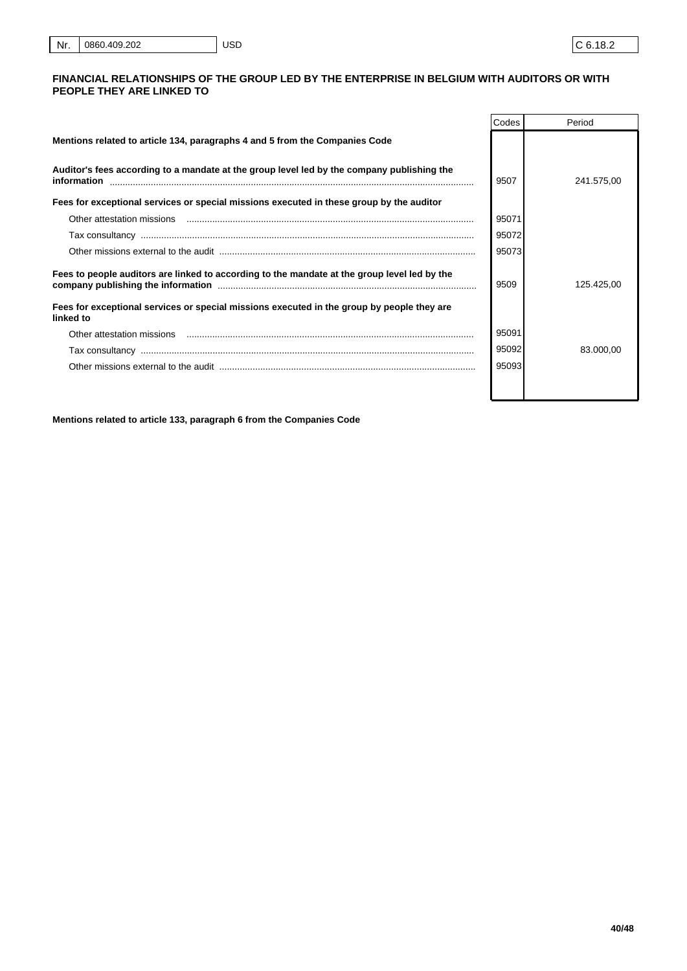#### **FINANCIAL RELATIONSHIPS OF THE GROUP LED BY THE ENTERPRISE IN BELGIUM WITH AUDITORS OR WITH PEOPLE THEY ARE LINKED TO**

|                                                                                                           | Codes | Period     |
|-----------------------------------------------------------------------------------------------------------|-------|------------|
| Mentions related to article 134, paragraphs 4 and 5 from the Companies Code                               |       |            |
| Auditor's fees according to a mandate at the group level led by the company publishing the<br>information | 9507  | 241.575.00 |
| Fees for exceptional services or special missions executed in these group by the auditor                  |       |            |
| Other attestation missions                                                                                | 95071 |            |
|                                                                                                           | 95072 |            |
|                                                                                                           | 95073 |            |
| Fees to people auditors are linked to according to the mandate at the group level led by the              | 9509  | 125.425.00 |
| Fees for exceptional services or special missions executed in the group by people they are<br>linked to   |       |            |
| Other attestation missions                                                                                | 95091 |            |
|                                                                                                           | 95092 | 83.000.00  |
|                                                                                                           | 95093 |            |
|                                                                                                           |       |            |

**Mentions related to article 133, paragraph 6 from the Companies Code**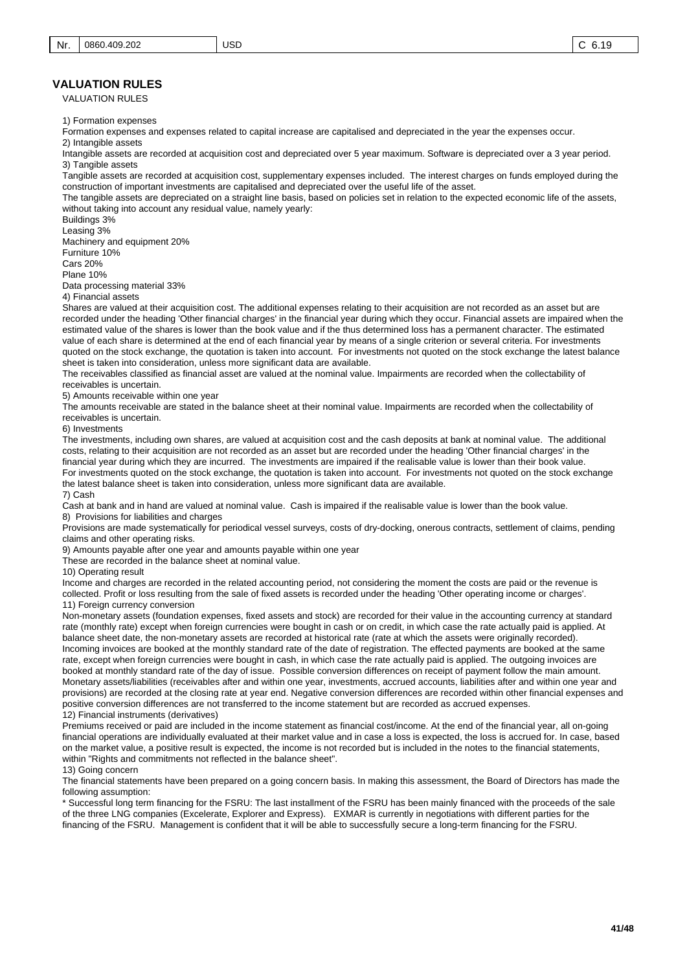#### **VALUATION RULES**

VALUATION RULES

1) Formation expenses

Formation expenses and expenses related to capital increase are capitalised and depreciated in the year the expenses occur.

USD

2) Intangible assets

Intangible assets are recorded at acquisition cost and depreciated over 5 year maximum. Software is depreciated over a 3 year period. 3) Tangible assets

Tangible assets are recorded at acquisition cost, supplementary expenses included. The interest charges on funds employed during the construction of important investments are capitalised and depreciated over the useful life of the asset.

The tangible assets are depreciated on a straight line basis, based on policies set in relation to the expected economic life of the assets, without taking into account any residual value, namely yearly:

Buildings 3%

Leasing 3%

Machinery and equipment 20%

Furniture 10%

Cars 20% Plane 10%

Data processing material 33%

4) Financial assets

Shares are valued at their acquisition cost. The additional expenses relating to their acquisition are not recorded as an asset but are recorded under the heading 'Other financial charges' in the financial year during which they occur. Financial assets are impaired when the estimated value of the shares is lower than the book value and if the thus determined loss has a permanent character. The estimated value of each share is determined at the end of each financial year by means of a single criterion or several criteria. For investments quoted on the stock exchange, the quotation is taken into account. For investments not quoted on the stock exchange the latest balance sheet is taken into consideration, unless more significant data are available.

The receivables classified as financial asset are valued at the nominal value. Impairments are recorded when the collectability of receivables is uncertain.

5) Amounts receivable within one year

The amounts receivable are stated in the balance sheet at their nominal value. Impairments are recorded when the collectability of receivables is uncertain.

6) Investments

The investments, including own shares, are valued at acquisition cost and the cash deposits at bank at nominal value. The additional costs, relating to their acquisition are not recorded as an asset but are recorded under the heading 'Other financial charges' in the financial year during which they are incurred. The investments are impaired if the realisable value is lower than their book value. For investments quoted on the stock exchange, the quotation is taken into account. For investments not quoted on the stock exchange the latest balance sheet is taken into consideration, unless more significant data are available. 7) Cash

Cash at bank and in hand are valued at nominal value. Cash is impaired if the realisable value is lower than the book value.

8) Provisions for liabilities and charges

Provisions are made systematically for periodical vessel surveys, costs of dry-docking, onerous contracts, settlement of claims, pending claims and other operating risks.

9) Amounts payable after one year and amounts payable within one year

These are recorded in the balance sheet at nominal value.

10) Operating result

Income and charges are recorded in the related accounting period, not considering the moment the costs are paid or the revenue is collected. Profit or loss resulting from the sale of fixed assets is recorded under the heading 'Other operating income or charges'. 11) Foreign currency conversion

Non-monetary assets (foundation expenses, fixed assets and stock) are recorded for their value in the accounting currency at standard rate (monthly rate) except when foreign currencies were bought in cash or on credit, in which case the rate actually paid is applied. At balance sheet date, the non-monetary assets are recorded at historical rate (rate at which the assets were originally recorded). Incoming invoices are booked at the monthly standard rate of the date of registration. The effected payments are booked at the same rate, except when foreign currencies were bought in cash, in which case the rate actually paid is applied. The outgoing invoices are booked at monthly standard rate of the day of issue. Possible conversion differences on receipt of payment follow the main amount. Monetary assets/liabilities (receivables after and within one year, investments, accrued accounts, liabilities after and within one year and provisions) are recorded at the closing rate at year end. Negative conversion differences are recorded within other financial expenses and positive conversion differences are not transferred to the income statement but are recorded as accrued expenses. 12) Financial instruments (derivatives)

Premiums received or paid are included in the income statement as financial cost/income. At the end of the financial year, all on-going financial operations are individually evaluated at their market value and in case a loss is expected, the loss is accrued for. In case, based on the market value, a positive result is expected, the income is not recorded but is included in the notes to the financial statements, within "Rights and commitments not reflected in the balance sheet".

13) Going concern

The financial statements have been prepared on a going concern basis. In making this assessment, the Board of Directors has made the following assumption:

\* Successful long term financing for the FSRU: The last installment of the FSRU has been mainly financed with the proceeds of the sale of the three LNG companies (Excelerate, Explorer and Express). EXMAR is currently in negotiations with different parties for the financing of the FSRU. Management is confident that it will be able to successfully secure a long-term financing for the FSRU.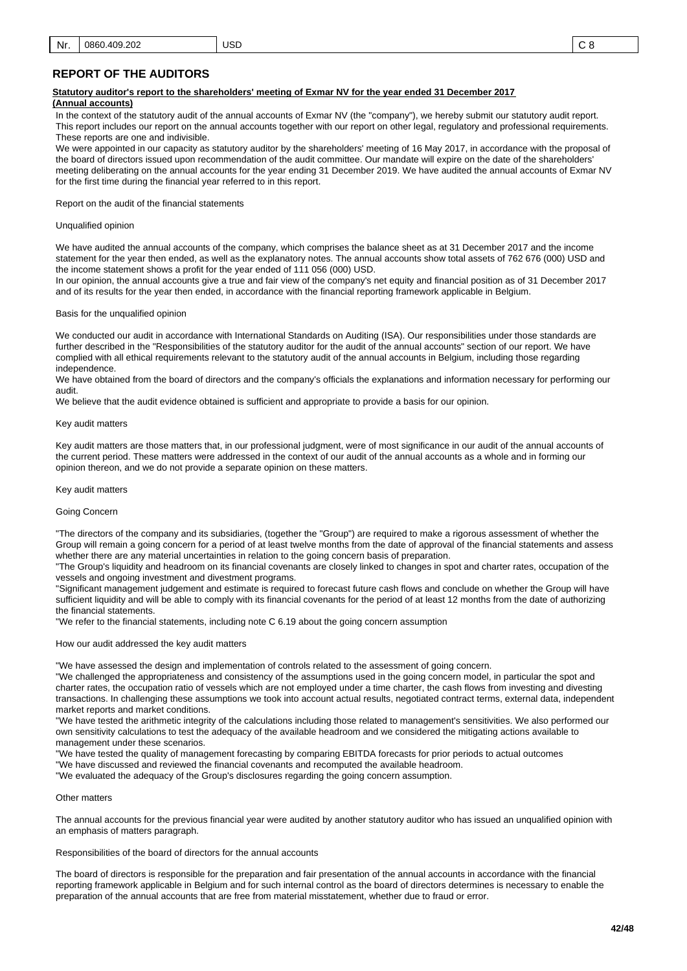# **REPORT OF THE AUDITORS**

#### **Statutory auditor's report to the shareholders' meeting of Exmar NV for the year ended 31 December 2017**

#### **(Annual accounts)**

In the context of the statutory audit of the annual accounts of Exmar NV (the "company"), we hereby submit our statutory audit report. This report includes our report on the annual accounts together with our report on other legal, regulatory and professional requirements. These reports are one and indivisible.

We were appointed in our capacity as statutory auditor by the shareholders' meeting of 16 May 2017, in accordance with the proposal of the board of directors issued upon recommendation of the audit committee. Our mandate will expire on the date of the shareholders' meeting deliberating on the annual accounts for the year ending 31 December 2019. We have audited the annual accounts of Exmar NV for the first time during the financial year referred to in this report.

Report on the audit of the financial statements

#### Unqualified opinion

We have audited the annual accounts of the company, which comprises the balance sheet as at 31 December 2017 and the income statement for the year then ended, as well as the explanatory notes. The annual accounts show total assets of 762 676 (000) USD and the income statement shows a profit for the year ended of 111 056 (000) USD.

In our opinion, the annual accounts give a true and fair view of the company's net equity and financial position as of 31 December 2017 and of its results for the year then ended, in accordance with the financial reporting framework applicable in Belgium.

#### Basis for the unqualified opinion

We conducted our audit in accordance with International Standards on Auditing (ISA). Our responsibilities under those standards are further described in the "Responsibilities of the statutory auditor for the audit of the annual accounts" section of our report. We have complied with all ethical requirements relevant to the statutory audit of the annual accounts in Belgium, including those regarding independence.

We have obtained from the board of directors and the company's officials the explanations and information necessary for performing our audit.

We believe that the audit evidence obtained is sufficient and appropriate to provide a basis for our opinion.

#### Key audit matters

Key audit matters are those matters that, in our professional judgment, were of most significance in our audit of the annual accounts of the current period. These matters were addressed in the context of our audit of the annual accounts as a whole and in forming our opinion thereon, and we do not provide a separate opinion on these matters.

#### Key audit matters

#### Going Concern

"The directors of the company and its subsidiaries, (together the "Group") are required to make a rigorous assessment of whether the Group will remain a going concern for a period of at least twelve months from the date of approval of the financial statements and assess whether there are any material uncertainties in relation to the going concern basis of preparation.

"The Group's liquidity and headroom on its financial covenants are closely linked to changes in spot and charter rates, occupation of the vessels and ongoing investment and divestment programs.

"Significant management judgement and estimate is required to forecast future cash flows and conclude on whether the Group will have sufficient liquidity and will be able to comply with its financial covenants for the period of at least 12 months from the date of authorizing the financial statements.

"We refer to the financial statements, including note C 6.19 about the going concern assumption

How our audit addressed the key audit matters

"We have assessed the design and implementation of controls related to the assessment of going concern.

"We challenged the appropriateness and consistency of the assumptions used in the going concern model, in particular the spot and charter rates, the occupation ratio of vessels which are not employed under a time charter, the cash flows from investing and divesting transactions. In challenging these assumptions we took into account actual results, negotiated contract terms, external data, independent market reports and market conditions.

"We have tested the arithmetic integrity of the calculations including those related to management's sensitivities. We also performed our own sensitivity calculations to test the adequacy of the available headroom and we considered the mitigating actions available to management under these scenarios.

"We have tested the quality of management forecasting by comparing EBITDA forecasts for prior periods to actual outcomes "We have discussed and reviewed the financial covenants and recomputed the available headroom.

"We evaluated the adequacy of the Group's disclosures regarding the going concern assumption.

#### Other matters

The annual accounts for the previous financial year were audited by another statutory auditor who has issued an unqualified opinion with an emphasis of matters paragraph.

Responsibilities of the board of directors for the annual accounts

The board of directors is responsible for the preparation and fair presentation of the annual accounts in accordance with the financial reporting framework applicable in Belgium and for such internal control as the board of directors determines is necessary to enable the preparation of the annual accounts that are free from material misstatement, whether due to fraud or error.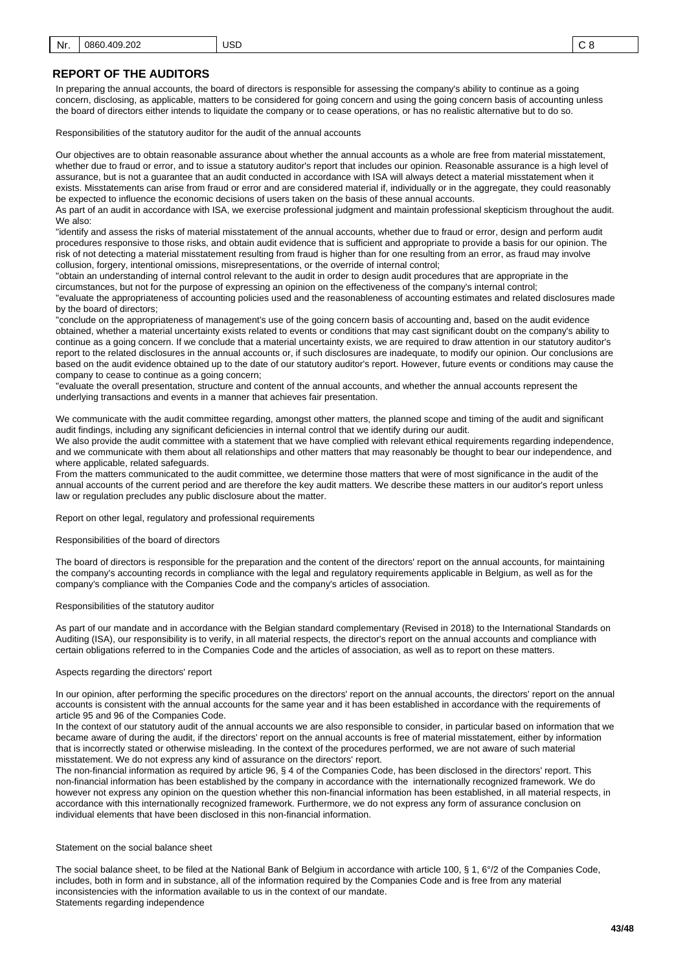# **REPORT OF THE AUDITORS**

In preparing the annual accounts, the board of directors is responsible for assessing the company's ability to continue as a going concern, disclosing, as applicable, matters to be considered for going concern and using the going concern basis of accounting unless the board of directors either intends to liquidate the company or to cease operations, or has no realistic alternative but to do so.

Responsibilities of the statutory auditor for the audit of the annual accounts

Our objectives are to obtain reasonable assurance about whether the annual accounts as a whole are free from material misstatement, whether due to fraud or error, and to issue a statutory auditor's report that includes our opinion. Reasonable assurance is a high level of assurance, but is not a guarantee that an audit conducted in accordance with ISA will always detect a material misstatement when it exists. Misstatements can arise from fraud or error and are considered material if, individually or in the aggregate, they could reasonably be expected to influence the economic decisions of users taken on the basis of these annual accounts.

As part of an audit in accordance with ISA, we exercise professional judgment and maintain professional skepticism throughout the audit. We also:

"identify and assess the risks of material misstatement of the annual accounts, whether due to fraud or error, design and perform audit procedures responsive to those risks, and obtain audit evidence that is sufficient and appropriate to provide a basis for our opinion. The risk of not detecting a material misstatement resulting from fraud is higher than for one resulting from an error, as fraud may involve collusion, forgery, intentional omissions, misrepresentations, or the override of internal control;

"obtain an understanding of internal control relevant to the audit in order to design audit procedures that are appropriate in the circumstances, but not for the purpose of expressing an opinion on the effectiveness of the company's internal control; "evaluate the appropriateness of accounting policies used and the reasonableness of accounting estimates and related disclosures made by the board of directors;

"conclude on the appropriateness of management's use of the going concern basis of accounting and, based on the audit evidence obtained, whether a material uncertainty exists related to events or conditions that may cast significant doubt on the company's ability to continue as a going concern. If we conclude that a material uncertainty exists, we are required to draw attention in our statutory auditor's report to the related disclosures in the annual accounts or, if such disclosures are inadequate, to modify our opinion. Our conclusions are based on the audit evidence obtained up to the date of our statutory auditor's report. However, future events or conditions may cause the company to cease to continue as a going concern;

"evaluate the overall presentation, structure and content of the annual accounts, and whether the annual accounts represent the underlying transactions and events in a manner that achieves fair presentation.

We communicate with the audit committee regarding, amongst other matters, the planned scope and timing of the audit and significant audit findings, including any significant deficiencies in internal control that we identify during our audit.

We also provide the audit committee with a statement that we have complied with relevant ethical requirements regarding independence, and we communicate with them about all relationships and other matters that may reasonably be thought to bear our independence, and where applicable, related safeguards.

From the matters communicated to the audit committee, we determine those matters that were of most significance in the audit of the annual accounts of the current period and are therefore the key audit matters. We describe these matters in our auditor's report unless law or regulation precludes any public disclosure about the matter.

Report on other legal, regulatory and professional requirements

Responsibilities of the board of directors

The board of directors is responsible for the preparation and the content of the directors' report on the annual accounts, for maintaining the company's accounting records in compliance with the legal and regulatory requirements applicable in Belgium, as well as for the company's compliance with the Companies Code and the company's articles of association.

Responsibilities of the statutory auditor

As part of our mandate and in accordance with the Belgian standard complementary (Revised in 2018) to the International Standards on Auditing (ISA), our responsibility is to verify, in all material respects, the director's report on the annual accounts and compliance with certain obligations referred to in the Companies Code and the articles of association, as well as to report on these matters.

#### Aspects regarding the directors' report

In our opinion, after performing the specific procedures on the directors' report on the annual accounts, the directors' report on the annual accounts is consistent with the annual accounts for the same year and it has been established in accordance with the requirements of article 95 and 96 of the Companies Code.

In the context of our statutory audit of the annual accounts we are also responsible to consider, in particular based on information that we became aware of during the audit, if the directors' report on the annual accounts is free of material misstatement, either by information that is incorrectly stated or otherwise misleading. In the context of the procedures performed, we are not aware of such material misstatement. We do not express any kind of assurance on the directors' report.

The non-financial information as required by article 96, § 4 of the Companies Code, has been disclosed in the directors' report. This non-financial information has been established by the company in accordance with the internationally recognized framework. We do however not express any opinion on the question whether this non-financial information has been established, in all material respects, in accordance with this internationally recognized framework. Furthermore, we do not express any form of assurance conclusion on individual elements that have been disclosed in this non-financial information.

#### Statement on the social balance sheet

The social balance sheet, to be filed at the National Bank of Belgium in accordance with article 100, § 1, 6°/2 of the Companies Code, includes, both in form and in substance, all of the information required by the Companies Code and is free from any material inconsistencies with the information available to us in the context of our mandate. Statements regarding independence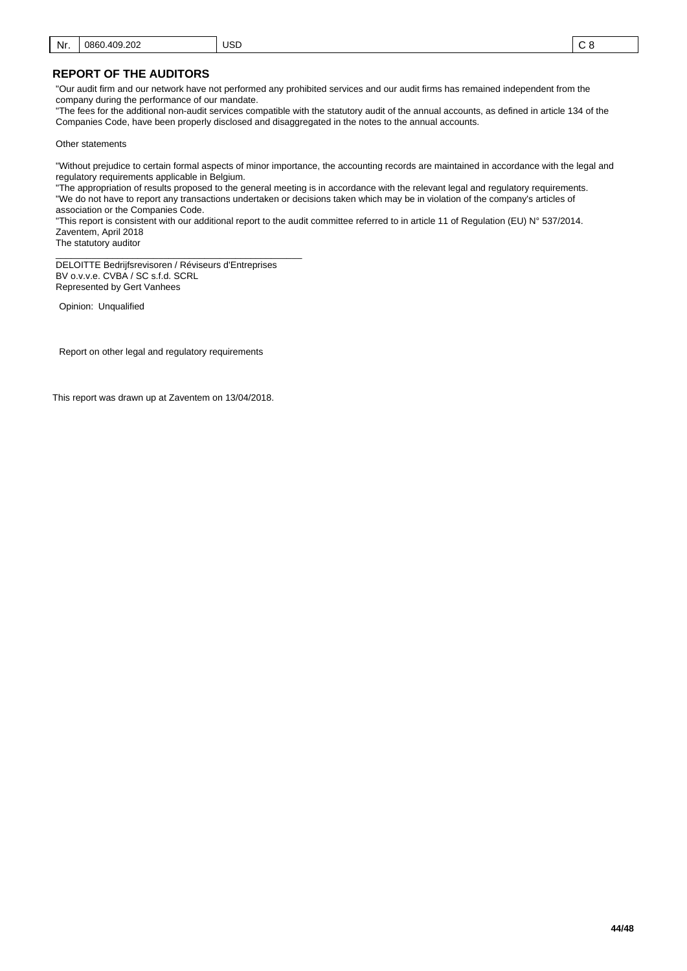#### **REPORT OF THE AUDITORS**

"Our audit firm and our network have not performed any prohibited services and our audit firms has remained independent from the company during the performance of our mandate.

"The fees for the additional non-audit services compatible with the statutory audit of the annual accounts, as defined in article 134 of the Companies Code, have been properly disclosed and disaggregated in the notes to the annual accounts.

Other statements

"Without prejudice to certain formal aspects of minor importance, the accounting records are maintained in accordance with the legal and regulatory requirements applicable in Belgium.

"The appropriation of results proposed to the general meeting is in accordance with the relevant legal and regulatory requirements. "We do not have to report any transactions undertaken or decisions taken which may be in violation of the company's articles of association or the Companies Code.

"This report is consistent with our additional report to the audit committee referred to in article 11 of Regulation (EU) N° 537/2014. Zaventem, April 2018

The statutory auditor

\_\_\_\_\_\_\_\_\_\_\_\_\_\_\_\_\_\_\_\_\_\_\_\_\_\_\_\_\_\_\_\_\_\_\_\_\_\_\_\_\_\_\_\_\_\_\_\_ DELOITTE Bedrijfsrevisoren / Réviseurs d'Entreprises BV o.v.v.e. CVBA / SC s.f.d. SCRL Represented by Gert Vanhees

Opinion: Unqualified

Report on other legal and regulatory requirements

This report was drawn up at Zaventem on 13/04/2018.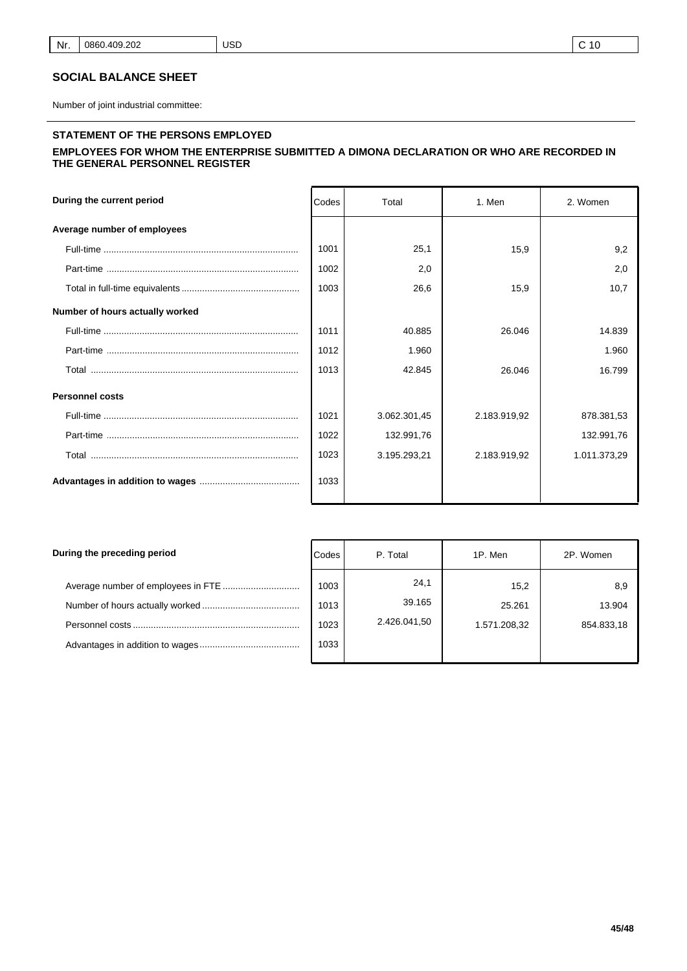# **SOCIAL BALANCE SHEET**

Number of joint industrial committee:

# **STATEMENT OF THE PERSONS EMPLOYED**

#### **EMPLOYEES FOR WHOM THE ENTERPRISE SUBMITTED A DIMONA DECLARATION OR WHO ARE RECORDED IN THE GENERAL PERSONNEL REGISTER**

| During the current period       | Codes | Total        | 1. Men       | 2. Women     |
|---------------------------------|-------|--------------|--------------|--------------|
| Average number of employees     |       |              |              |              |
|                                 | 1001  | 25.1         | 15.9         | 9,2          |
|                                 | 1002  | 2,0          |              | 2,0          |
|                                 | 1003  | 26,6         | 15,9         | 10,7         |
| Number of hours actually worked |       |              |              |              |
|                                 | 1011  | 40.885       | 26.046       | 14.839       |
|                                 | 1012  | 1.960        |              | 1.960        |
|                                 | 1013  | 42.845       | 26.046       | 16.799       |
| <b>Personnel costs</b>          |       |              |              |              |
|                                 | 1021  | 3.062.301,45 | 2.183.919,92 | 878.381,53   |
|                                 | 1022  | 132.991,76   |              | 132.991,76   |
|                                 | 1023  | 3.195.293,21 | 2.183.919,92 | 1.011.373,29 |
|                                 | 1033  |              |              |              |

| During the preceding period | Codes | P. Total       | 1P. Men      | 2P. Women  |
|-----------------------------|-------|----------------|--------------|------------|
|                             | 1003  | 24,1<br>39.165 | 15,2         | 8,9        |
|                             | 1013  |                | 25.261       | 13.904     |
|                             | 1023  | 2.426.041,50   | 1.571.208,32 | 854.833,18 |
|                             | 1033  |                |              |            |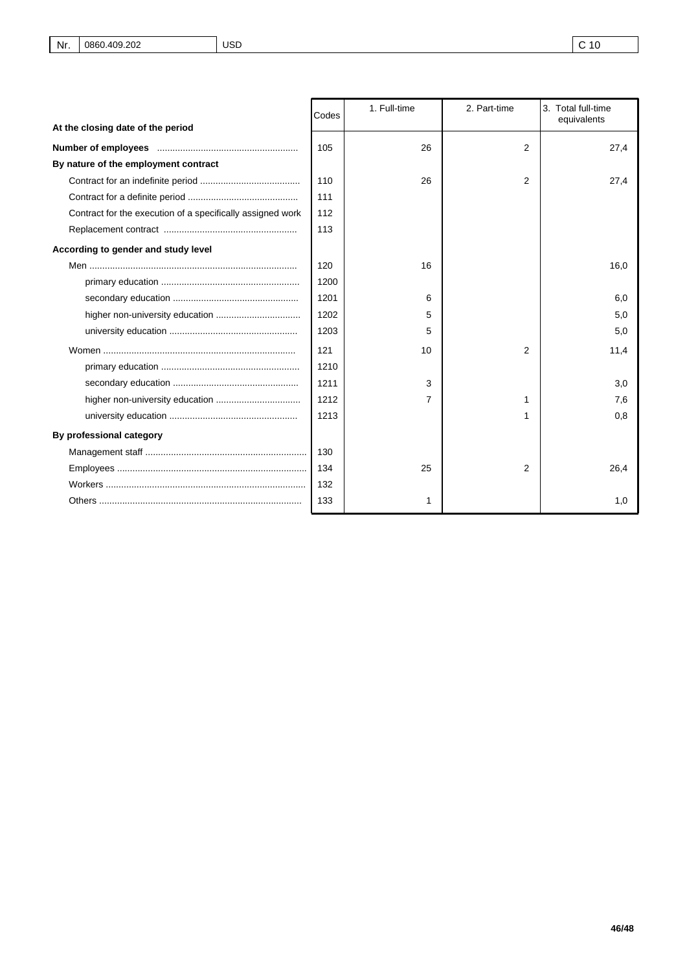|                                                            | Codes | 1. Full-time | 2. Part-time | 3. Total full-time<br>equivalents |
|------------------------------------------------------------|-------|--------------|--------------|-----------------------------------|
| At the closing date of the period                          |       |              |              |                                   |
|                                                            | 105   | 26           | 2            | 27,4                              |
| By nature of the employment contract                       |       |              |              |                                   |
|                                                            | 110   | 26           | 2            | 27,4                              |
|                                                            | 111   |              |              |                                   |
| Contract for the execution of a specifically assigned work | 112   |              |              |                                   |
|                                                            | 113   |              |              |                                   |
| According to gender and study level                        |       |              |              |                                   |
|                                                            | 120   | 16           |              | 16,0                              |
|                                                            | 1200  |              |              |                                   |
|                                                            | 1201  | 6            |              | 6,0                               |
|                                                            | 1202  | 5            |              | 5,0                               |
|                                                            | 1203  | 5            |              | 5,0                               |
|                                                            | 121   | 10           | 2            | 11,4                              |
|                                                            | 1210  |              |              |                                   |
|                                                            | 1211  | 3            |              | 3,0                               |
|                                                            | 1212  | 7            | 1            | 7,6                               |
|                                                            | 1213  |              | 1            | 0,8                               |
| By professional category                                   |       |              |              |                                   |
|                                                            | 130   |              |              |                                   |
|                                                            | 134   | 25           | 2            | 26,4                              |
|                                                            | 132   |              |              |                                   |
|                                                            | 133   |              |              | 1,0                               |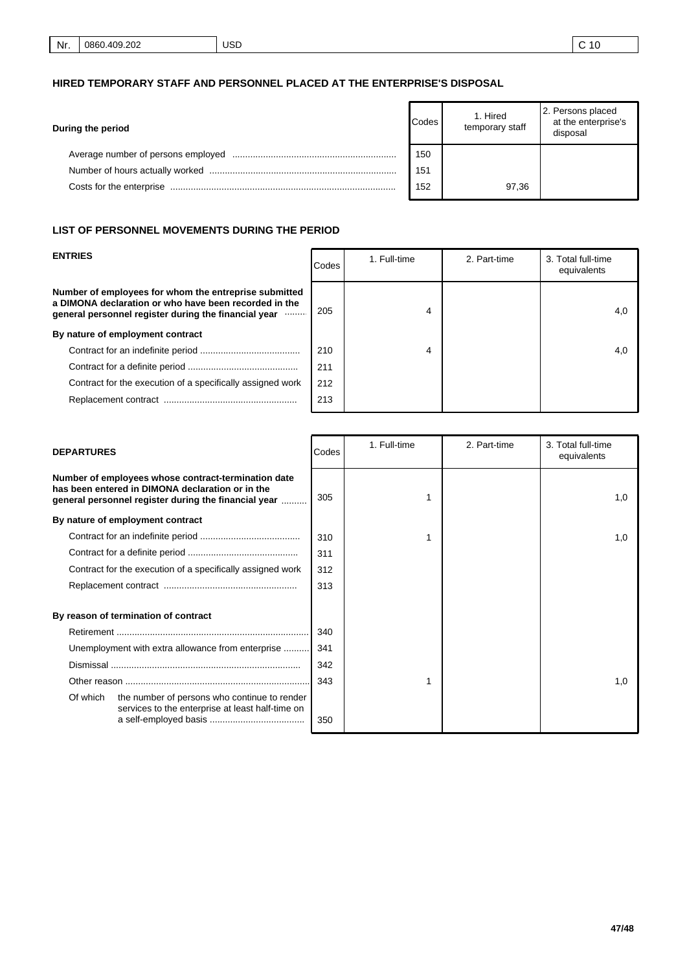# **HIRED TEMPORARY STAFF AND PERSONNEL PLACED AT THE ENTERPRISE'S DISPOSAL**

| Codes<br>During the period |     | 1. Hired<br>temporary staff | 2. Persons placed<br>at the enterprise's<br>disposal |
|----------------------------|-----|-----------------------------|------------------------------------------------------|
|                            | 150 |                             |                                                      |
|                            | 151 |                             |                                                      |
| Costs for the enterprise   | 152 | 97,36                       |                                                      |

#### **LIST OF PERSONNEL MOVEMENTS DURING THE PERIOD**

| <b>ENTRIES</b>                                                                                                                                                               | <b>Codes</b> | 1. Full-time | 2. Part-time | 3. Total full-time<br>equivalents |
|------------------------------------------------------------------------------------------------------------------------------------------------------------------------------|--------------|--------------|--------------|-----------------------------------|
| Number of employees for whom the entreprise submitted<br>a DIMONA declaration or who have been recorded in the<br>general personnel register during the financial year manu- | 205          | 4            |              | 4,0                               |
| By nature of employment contract                                                                                                                                             |              |              |              |                                   |
|                                                                                                                                                                              | 210          | 4            |              | 4,0                               |
|                                                                                                                                                                              | 211          |              |              |                                   |
| Contract for the execution of a specifically assigned work                                                                                                                   | 212          |              |              |                                   |
|                                                                                                                                                                              | 213          |              |              |                                   |

| <b>DEPARTURES</b>                                                                                                                                               | Codes | 1. Full-time | 2. Part-time | 3. Total full-time<br>equivalents |
|-----------------------------------------------------------------------------------------------------------------------------------------------------------------|-------|--------------|--------------|-----------------------------------|
| Number of employees whose contract-termination date<br>has been entered in DIMONA declaration or in the<br>general personnel register during the financial year | 305   |              |              | 1,0                               |
| By nature of employment contract                                                                                                                                |       |              |              |                                   |
|                                                                                                                                                                 | 310   |              |              | 1,0                               |
|                                                                                                                                                                 | 311   |              |              |                                   |
| Contract for the execution of a specifically assigned work                                                                                                      | 312   |              |              |                                   |
|                                                                                                                                                                 | 313   |              |              |                                   |
| By reason of termination of contract                                                                                                                            |       |              |              |                                   |
|                                                                                                                                                                 | 340   |              |              |                                   |
| Unemployment with extra allowance from enterprise                                                                                                               | 341   |              |              |                                   |
|                                                                                                                                                                 | 342   |              |              |                                   |
|                                                                                                                                                                 | 343   |              |              | 1,0                               |
| Of which<br>the number of persons who continue to render<br>services to the enterprise at least half-time on                                                    | 350   |              |              |                                   |